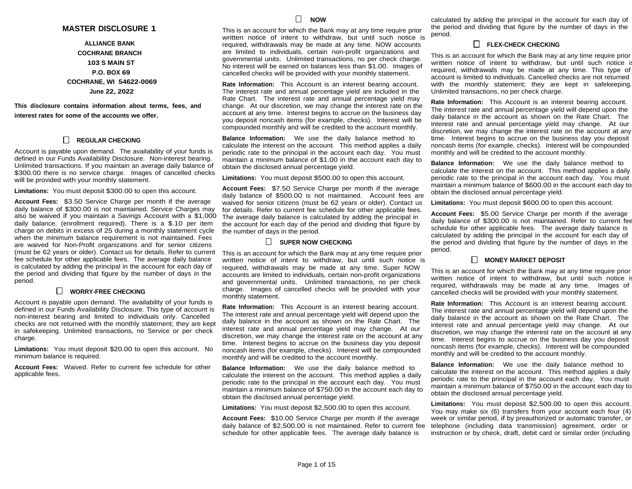# **MASTER DISCLOSURE 1**

**ALLIANCE BANK COCHRANE BRANCH 103 S MAIN ST P.O. BOX 69 COCHRANE, WI 54622-0069 June 22, 2022**

**This disclosure contains information about terms, fees, and interest rates for some of the accounts we offer.**

# **REGULAR CHECKING**

Account is payable upon demand. The availability of your funds is defined in our Funds Availability Disclosure. Non-interest bearing. Unlimited transactions. If you maintain an average daily balance of \$300.00 there is no service charge. Images of cancelled checks will be provided with your monthly statement.

**Limitations:** You must deposit \$300.00 to open this account.

**Account Fees:** \$3.50 Service Charge per month if the average daily balance of \$300.00 is not maintained. Service Charges may also be waived if you maintain a Savings Account with a \$1,000 daily balance, (enrollment required). There is a \$.10 per item charge on debits in excess of 25 during a monthly statement cycle when the minimum balance requirement is not maintained. Fees are waived for Non-Profit organizations and for senior citizens (must be 62 years or older). Contact us for details. Refer to current fee schedule for other applicable fees. The average daily balance is calculated by adding the principal in the account for each day of the period and dividing that figure by the number of days in the period.

# **WORRY-FREE CHECKING**

Account is payable upon demand. The availability of your funds is defined in our Funds Availability Disclosure. This type of account is non-interest bearing and limited to individuals only. Cancelled checks are not returned with the monthly statement; they are kept in safekeeping. Unlimited transactions, no Service or per check charge.

**Limitations:** You must deposit \$20.00 to open this account. No minimum balance is required.

**Account Fees:** Waived. Refer to current fee schedule for other applicable fees.

#### П **NOW**

This is an account for which the Bank may at any time require prior written notice of intent to withdraw, but until such notice is required, withdrawals may be made at any time. NOW accounts are limited to individuals, certain non-profit organizations and governmental units. Unlimited transactions, no per check charge. No interest will be earned on balances less than \$1.00. Images of cancelled checks will be provided with your monthly statement.

**Rate Information:** This Account is an interest bearing account. The interest rate and annual percentage yield are included in the Rate Chart. The interest rate and annual percentage yield may change. At our discretion, we may change the interest rate on the account at any time. Interest begins to accrue on the business day you deposit noncash items (for example, checks). Interest will be compounded monthly and will be credited to the account monthly.

**Balance Information:** We use the daily balance method to calculate the interest on the account. This method applies a daily periodic rate to the principal in the account each day. You must maintain a minimum balance of \$1.00 in the account each day to obtain the disclosed annual percentage yield.

**Limitations:** You must deposit \$500.00 to open this account.

**Account Fees:** \$7.50 Service Charge per month if the average daily balance of \$500.00 is not maintained. Account fees are waived for senior citizens (must be 62 years or older). Contact us for details. Refer to current fee schedule for other applicable fees. The average daily balance is calculated by adding the principal in the account for each day of the period and dividing that figure by the number of days in the period.

# **SUPER NOW CHECKING**

This is an account for which the Bank may at any time require prior written notice of intent to withdraw, but until such notice is required, withdrawals may be made at any time. Super NOW accounts are limited to individuals, certain non-profit organizations and governmental units. Unlimited transactions, no per check charge. Images of cancelled checks will be provided with your monthly statement.

**Rate Information:** This Account is an interest bearing account. The interest rate and annual percentage yield will depend upon the daily balance in the account as shown on the Rate Chart. The interest rate and annual percentage yield may change. At our discretion, we may change the interest rate on the account at any time. Interest begins to accrue on the business day you deposit noncash items (for example, checks). Interest will be compounded monthly and will be credited to the account monthly.

**Balance Information:** We use the daily balance method to calculate the interest on the account. This method applies a daily periodic rate to the principal in the account each day. You must maintain a minimum balance of \$750.00 in the account each day to obtain the disclosed annual percentage yield.

**Limitations:** You must deposit \$2,500.00 to open this account.

**Account Fees:** \$10.00 Service Charge per month if the average daily balance of \$2,500.00 is not maintained. Refer to current fee schedule for other applicable fees. The average daily balance is

calculated by adding the principal in the account for each day of the period and dividing that figure by the number of days in the period.

# **FLEX-CHECK CHECKING**

This is an account for which the Bank may at any time require prior written notice of intent to withdraw, but until such notice is required, withdrawals may be made at any time. This type of account is limited to individuals. Cancelled checks are not returned with the monthly statement; they are kept in safekeeping. Unlimited transactions, no per check charge.

**Rate Information:** This Account is an interest bearing account. The interest rate and annual percentage yield will depend upon the daily balance in the account as shown on the Rate Chart. The interest rate and annual percentage yield may change. At our discretion, we may change the interest rate on the account at any time. Interest begins to accrue on the business day you deposit noncash items (for example, checks). Interest will be compounded monthly and will be credited to the account monthly.

**Balance Information:** We use the daily balance method to calculate the interest on the account. This method applies a daily periodic rate to the principal in the account each day. You must maintain a minimum balance of \$600.00 in the account each day to obtain the disclosed annual percentage yield.

**Limitations:** You must deposit \$600.00 to open this account.

**Account Fees:** \$5.00 Service Charge per month if the average daily balance of \$300.00 is not maintained. Refer to current fee schedule for other applicable fees. The average daily balance is calculated by adding the principal in the account for each day of the period and dividing that figure by the number of days in the period.

# **MONEY MARKET DEPOSIT**

This is an account for which the Bank may at any time require prior written notice of intent to withdraw, but until such notice is required, withdrawals may be made at any time. Images of cancelled checks will be provided with your monthly statement.

**Rate Information:** This Account is an interest bearing account. The interest rate and annual percentage yield will depend upon the daily balance in the account as shown on the Rate Chart. The interest rate and annual percentage yield may change. At our discretion, we may change the interest rate on the account at any time. Interest begins to accrue on the business day you deposit noncash items (for example, checks). Interest will be compounded monthly and will be credited to the account monthly.

**Balance Information:** We use the daily balance method to calculate the interest on the account. This method applies a daily periodic rate to the principal in the account each day. You must maintain a minimum balance of \$750.00 in the account each day to obtain the disclosed annual percentage yield.

**Limitations:** You must deposit \$2,500.00 to open this account. You may make six (6) transfers from your account each four (4) week or similar period, if by preauthorized or automatic transfer, or telephone (including data transmission) agreement, order or instruction or by check, draft, debit card or similar order (including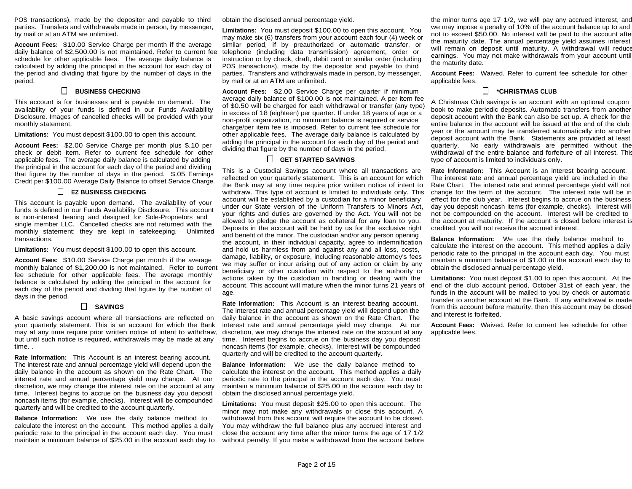POS transactions), made by the depositor and payable to third parties. Transfers and withdrawals made in person, by messenger, by mail or at an ATM are unlimited.

**Account Fees:** \$10.00 Service Charge per month if the average daily balance of \$2,500.00 is not maintained. Refer to current fee schedule for other applicable fees. The average daily balance is calculated by adding the principal in the account for each day of the period and dividing that figure by the number of days in the period.

# **BUSINESS CHECKING**

This account is for businesses and is payable on demand. The availability of your funds is defined in our Funds Availability Disclosure. Images of cancelled checks will be provided with your monthly statement.

**Limitations:** You must deposit \$100.00 to open this account.

**Account Fees:** \$2.00 Service Charge per month plus \$.10 per check or debit item. Refer to current fee schedule for other applicable fees. The average daily balance is calculated by adding the principal in the account for each day of the period and dividing that figure by the number of days in the period. \$.05 Earnings Credit per \$100.00 Average Daily Balance to offset Service Charge.

# **EZ BUSINESS CHECKING**

This account is payable upon demand. The availability of your funds is defined in our Funds Availability Disclosure. This account is non-interest bearing and designed for Sole-Proprietors and single member LLC. Cancelled checks are not returned with the monthly statement; they are kept in safekeeping. Unlimited transactions.

**Limitations:** You must deposit \$100.00 to open this account.

**Account Fees:** \$10.00 Service Charge per month if the average monthly balance of \$1,200.00 is not maintained. Refer to current fee schedule for other applicable fees. The average monthly balance is calculated by adding the principal in the account for each day of the period and dividing that figure by the number of days in the period.

# **SAVINGS**

A basic savings account where all transactions are reflected on your quarterly statement. This is an account for which the Bank may at any time require prior written notice of intent to withdraw, but until such notice is required, withdrawals may be made at any time. .

**Rate Information:** This Account is an interest bearing account. The interest rate and annual percentage yield will depend upon the daily balance in the account as shown on the Rate Chart. The interest rate and annual percentage yield may change. At our discretion, we may change the interest rate on the account at any time. Interest begins to accrue on the business day you deposit noncash items (for example, checks). Interest will be compounded quarterly and will be credited to the account quarterly.

**Balance Information:** We use the daily balance method to calculate the interest on the account. This method applies a daily periodic rate to the principal in the account each day. You must maintain a minimum balance of \$25.00 in the account each day to obtain the disclosed annual percentage yield.

**Limitations:** You must deposit \$100.00 to open this account. You may make six (6) transfers from your account each four (4) week or similar period, if by preauthorized or automatic transfer, or telephone (including data transmission) agreement, order or instruction or by check, draft, debit card or similar order (including POS transactions), made by the depositor and payable to third parties. Transfers and withdrawals made in person, by messenger, by mail or at an ATM are unlimited.

**Account Fees:** \$2.00 Service Charge per quarter if minimum average daily balance of \$100.00 is not maintained. A per item fee of \$0.50 will be charged for each withdrawal or transfer (any type) in excess of 18 (eighteen) per quarter. If under 18 years of age or a non-profit organization, no minimum balance is required or service charge/per item fee is imposed. Refer to current fee schedule for other applicable fees. The average daily balance is calculated by adding the principal in the account for each day of the period and dividing that figure by the number of days in the period.

# **GET STARTED SAVINGS**

This is a Custodial Savings account where all transactions are reflected on your quarterly statement. This is an account for which the Bank may at any time require prior written notice of intent to withdraw. This type of account is limited to individuals only. This account will be established by a custodian for a minor beneficiary under our State version of the Uniform Transfers to Minors Act, your rights and duties are governed by the Act. You will not be allowed to pledge the account as collateral for any loan to you. Deposits in the account will be held by us for the exclusive right and benefit of the minor. The custodian and/or any person opening the account, in their individual capacity, agree to indemnification and hold us harmless from and against any and all loss, costs, damage, liability, or exposure, including reasonable attorney's fees we may suffer or incur arising out of any action or claim by any beneficiary or other custodian with respect to the authority or actions taken by the custodian in handling or dealing with the account. This account will mature when the minor turns 21 years of age.

**Rate Information:** This Account is an interest bearing account. The interest rate and annual percentage yield will depend upon the daily balance in the account as shown on the Rate Chart. The interest rate and annual percentage yield may change. At our discretion, we may change the interest rate on the account at any time. Interest begins to accrue on the business day you deposit noncash items (for example, checks). Interest will be compounded quarterly and will be credited to the account quarterly.

**Balance Information:** We use the daily balance method to calculate the interest on the account. This method applies a daily periodic rate to the principal in the account each day. You must maintain a minimum balance of \$25.00 in the account each day to obtain the disclosed annual percentage yield.

**Limitations:** You must deposit \$25.00 to open this account. The minor may not make any withdrawals or close this account. A withdrawal from this account will require the account to be closed. You may withdraw the full balance plus any accrued interest and close the account any time after the minor turns the age of 17 1/2 without penalty. If you make a withdrawal from the account before

the minor turns age 17 1/2, we will pay any accrued interest, and we may impose a penalty of 10% of the account balance up to and not to exceed \$50.00. No interest will be paid to the account after the maturity date. The annual percentage yield assumes interest will remain on deposit until maturity. A withdrawal will reduce earnings. You may not make withdrawals from your account until the maturity date.

**Account Fees:** Waived. Refer to current fee schedule for other applicable fees.

#### $\Box$ **\*CHRISTMAS CLUB**

A Christmas Club savings is an account with an optional coupon book to make periodic deposits. Automatic transfers from another deposit account with the Bank can also be set up. A check for the entire balance in the account will be issued at the end of the club year or the amount may be transferred automatically into another deposit account with the Bank. Statements are provided at least quarterly. No early withdrawals are permitted without the withdrawal of the entire balance and forfeiture of all interest. This type of account is limited to individuals only.

**Rate Information:** This Account is an interest bearing account. The interest rate and annual percentage yield are included in the Rate Chart. The interest rate and annual percentage yield will not change for the term of the account. The interest rate will be in effect for the club year. Interest begins to accrue on the business day you deposit noncash items (for example, checks). Interest will not be compounded on the account. Interest will be credited to the account at maturity. If the account is closed before interest is credited, you will not receive the accrued interest.

**Balance Information:** We use the daily balance method to calculate the interest on the account. This method applies a daily periodic rate to the principal in the account each day. You must maintain a minimum balance of \$1.00 in the account each day to obtain the disclosed annual percentage yield.

**Limitations:** You must deposit \$1.00 to open this account. At the end of the club account period, October 31st of each year, the funds in the account will be mailed to you by check or automatic transfer to another account at the Bank. If any withdrawal is made from this account before maturity, then this account may be closed and interest is forfeited.

**Account Fees:** Waived. Refer to current fee schedule for other applicable fees.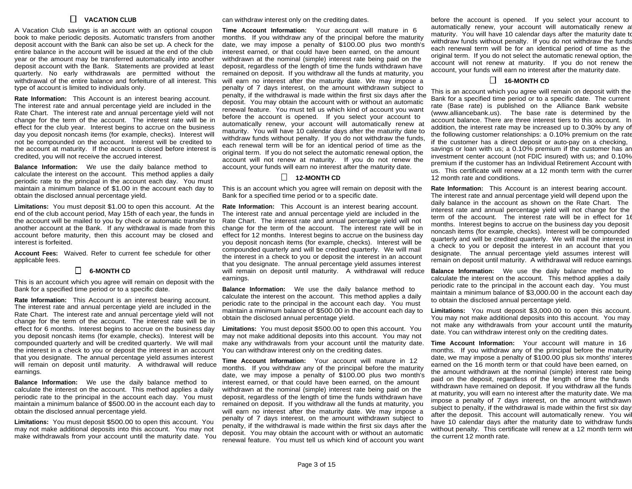# **VACATION CLUB**

A Vacation Club savings is an account with an optional coupon book to make periodic deposits. Automatic transfers from another deposit account with the Bank can also be set up. A check for the entire balance in the account will be issued at the end of the club year or the amount may be transferred automatically into another deposit account with the Bank. Statements are provided at least quarterly. No early withdrawals are permitted without the withdrawal of the entire balance and forfeiture of all interest. This type of account is limited to individuals only.

**Rate Information:** This Account is an interest bearing account. The interest rate and annual percentage yield are included in the Rate Chart. The interest rate and annual percentage yield will not change for the term of the account. The interest rate will be in effect for the club year. Interest begins to accrue on the business day you deposit noncash items (for example, checks). Interest will not be compounded on the account. Interest will be credited to the account at maturity. If the account is closed before interest is credited, you will not receive the accrued interest.

**Balance Information:** We use the daily balance method to calculate the interest on the account. This method applies a daily periodic rate to the principal in the account each day. You must maintain a minimum balance of \$1.00 in the account each day to obtain the disclosed annual percentage yield.

**Limitations:** You must deposit \$1.00 to open this account. At the end of the club account period, May 15th of each year, the funds in the account will be mailed to you by check or automatic transfer to another account at the Bank. If any withdrawal is made from this account before maturity, then this account may be closed and interest is forfeited.

**Account Fees:** Waived. Refer to current fee schedule for other applicable fees.

# **6-MONTH CD**

This is an account which you agree will remain on deposit with the Bank for a specified time period or to a specific date.

**Rate Information:** This Account is an interest bearing account. The interest rate and annual percentage yield are included in the Rate Chart. The interest rate and annual percentage yield will not change for the term of the account. The interest rate will be in effect for 6 months. Interest begins to accrue on the business day you deposit noncash items (for example, checks). Interest will be compounded quarterly and will be credited quarterly. We will mail the interest in a check to you or deposit the interest in an account that you designate. The annual percentage yield assumes interest will remain on deposit until maturity. A withdrawal will reduce earnings.

**Balance Information:** We use the daily balance method to calculate the interest on the account. This method applies a daily periodic rate to the principal in the account each day. You must maintain a minimum balance of \$500.00 in the account each day to obtain the disclosed annual percentage yield.

**Limitations:** You must deposit \$500.00 to open this account. You may not make additional deposits into this account. You may not make withdrawals from your account until the maturity date. You

can withdraw interest only on the crediting dates.

**Time Account Information:** Your account will mature in 6 months. If you withdraw any of the principal before the maturity date, we may impose a penalty of \$100.00 plus two month's interest earned, or that could have been earned, on the amount withdrawn at the nominal (simple) interest rate being paid on the deposit, regardless of the length of time the funds withdrawn have remained on deposit. If you withdraw all the funds at maturity, you will earn no interest after the maturity date. We may impose a penalty of 7 days interest, on the amount withdrawn subject to penalty, if the withdrawal is made within the first six days after the deposit. You may obtain the account with or without an automatic renewal feature. You must tell us which kind of account you want before the account is opened. If you select your account to automatically renew, your account will automatically renew at maturity. You will have 10 calendar days after the maturity date to withdraw funds without penalty. If you do not withdraw the funds, each renewal term will be for an identical period of time as the original term. If you do not select the automatic renewal option, the account will not renew at maturity. If you do not renew the account, your funds will earn no interest after the maturity date.

# **12-MONTH CD**

This is an account which you agree will remain on deposit with the Bank for a specified time period or to a specific date.

**Rate Information:** This Account is an interest bearing account. The interest rate and annual percentage yield are included in the Rate Chart. The interest rate and annual percentage yield will not change for the term of the account. The interest rate will be in effect for 12 months. Interest begins to accrue on the business day you deposit noncash items (for example, checks). Interest will be compounded quarterly and will be credited quarterly. We will mail the interest in a check to you or deposit the interest in an account that you designate. The annual percentage yield assumes interest will remain on deposit until maturity. A withdrawal will reduce earnings.

**Balance Information:** We use the daily balance method to calculate the interest on the account. This method applies a daily periodic rate to the principal in the account each day. You must maintain a minimum balance of \$500.00 in the account each day to obtain the disclosed annual percentage yield.

**Limitations:** You must deposit \$500.00 to open this account. You may not make additional deposits into this account. You may not make any withdrawals from your account until the maturity date. You can withdraw interest only on the crediting dates.

**Time Account Information:** Your account will mature in 12 months. If you withdraw any of the principal before the maturity date, we may impose a penalty of \$100.00 plus two month's interest earned, or that could have been earned, on the amount withdrawn at the nominal (simple) interest rate being paid on the deposit, regardless of the length of time the funds withdrawn have remained on deposit. If you withdraw all the funds at maturity, you will earn no interest after the maturity date. We may impose a penalty of 7 days interest, on the amount withdrawn subject to penalty, if the withdrawal is made within the first six days after the deposit. You may obtain the account with or without an automatic renewal feature. You must tell us which kind of account you want

before the account is opened. If you select your account to automatically renew, your account will automatically renew a maturity. You will have 10 calendar days after the maturity date to withdraw funds without penalty. If you do not withdraw the funds each renewal term will be for an identical period of time as the original term. If you do not select the automatic renewal option, the account will not renew at maturity. If you do not renew the account, your funds will earn no interest after the maturity date.

# **16-MONTH CD**

This is an account which you agree will remain on deposit with the Bank for a specified time period or to a specific date. The current rate (Base rate) is published on the Alliance Bank website (www.alliancebank.us). The base rate is determined by the account balance. There are three interest tiers to this account. In addition, the interest rate may be increased up to 0.30% by any of the following customer relationships: a 0.10% premium on the rate if the customer has a direct deposit or auto-pay on a checking, savings or loan with us; a 0.10% premium if the customer has an investment center account (not FDIC insured) with us; and 0.10% premium if the customer has an Individual Retirement Account with us. This certificate will renew at a 12 month term with the current 12 month rate and conditions.

**Rate Information:** This Account is an interest bearing account. The interest rate and annual percentage yield will depend upon the daily balance in the account as shown on the Rate Chart. The interest rate and annual percentage yield will not change for the term of the account. The interest rate will be in effect for 16 months. Interest begins to accrue on the business day you deposit noncash items (for example, checks). Interest will be compounded quarterly and will be credited quarterly. We will mail the interest in a check to you or deposit the interest in an account that you designate. The annual percentage yield assumes interest will remain on deposit until maturity. A withdrawal will reduce earnings.

**Balance Information:** We use the daily balance method to calculate the interest on the account. This method applies a daily periodic rate to the principal in the account each day. You must maintain a minimum balance of \$3,000.00 in the account each day to obtain the disclosed annual percentage yield.

**Limitations:** You must deposit \$3,000.00 to open this account. You may not make additional deposits into this account. You may not make any withdrawals from your account until the maturity date. You can withdraw interest only on the crediting dates.

**Time Account Information:** Your account will mature in 16 months. If you withdraw any of the principal before the maturity date, we may impose a penalty of \$100.00 plus six months' interest earned on the 16 month term or that could have been earned, on the amount withdrawn at the nominal (simple) interest rate being paid on the deposit, regardless of the length of time the funds withdrawn have remained on deposit. If you withdraw all the funds at maturity, you will earn no interest after the maturity date. We ma impose a penalty of 7 days interest, on the amount withdrawn subject to penalty, if the withdrawal is made within the first six day after the deposit. This account will automatically renew. You will have 10 calendar days after the maturity date to withdraw funds without penalty. This certificate will renew at a 12 month term with the current 12 month rate.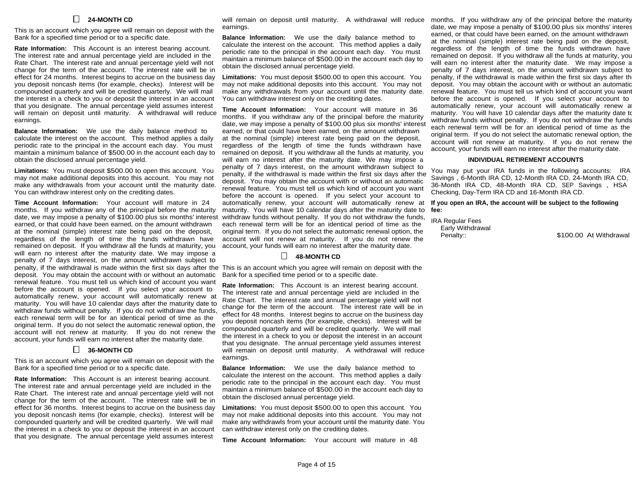# **24-MONTH CD**

This is an account which you agree will remain on deposit with the Bank for a specified time period or to a specific date.

**Rate Information:** This Account is an interest bearing account. The interest rate and annual percentage yield are included in the Rate Chart. The interest rate and annual percentage yield will not change for the term of the account. The interest rate will be in effect for 24 months. Interest begins to accrue on the business day you deposit noncash items (for example, checks). Interest will be compounded quarterly and will be credited quarterly. We will mail the interest in a check to you or deposit the interest in an account that you designate. The annual percentage yield assumes interest will remain on deposit until maturity. A withdrawal will reduce earnings.

**Balance Information:** We use the daily balance method to calculate the interest on the account. This method applies a daily periodic rate to the principal in the account each day. You must maintain a minimum balance of \$500.00 in the account each day to obtain the disclosed annual percentage yield.

**Limitations:** You must deposit \$500.00 to open this account. You may not make additional deposits into this account. You may not make any withdrawals from your account until the maturity date. You can withdraw interest only on the crediting dates.

**Time Account Information:** Your account will mature in 24 months. If you withdraw any of the principal before the maturity date, we may impose a penalty of \$100.00 plus six months' interest earned, or that could have been earned, on the amount withdrawn at the nominal (simple) interest rate being paid on the deposit, regardless of the length of time the funds withdrawn have remained on deposit. If you withdraw all the funds at maturity, you will earn no interest after the maturity date. We may impose a penalty of 7 days interest, on the amount withdrawn subject to penalty, if the withdrawal is made within the first six days after the This is an account which you agree will remain on deposit with the deposit. You may obtain the account with or without an automatic renewal feature. You must tell us which kind of account you want before the account is opened. If you select your account to automatically renew, your account will automatically renew at maturity. You will have 10 calendar days after the maturity date to withdraw funds without penalty. If you do not withdraw the funds, each renewal term will be for an identical period of time as the original term. If you do not select the automatic renewal option, the account will not renew at maturity. If you do not renew the account, your funds will earn no interest after the maturity date.

# **36-MONTH CD**

This is an account which you agree will remain on deposit with the Bank for a specified time period or to a specific date.

**Rate Information:** This Account is an interest bearing account. The interest rate and annual percentage yield are included in the Rate Chart. The interest rate and annual percentage yield will not change for the term of the account. The interest rate will be in effect for 36 months. Interest begins to accrue on the business day you deposit noncash items (for example, checks). Interest will be compounded quarterly and will be credited quarterly. We will mail the interest in a check to you or deposit the interest in an account that you designate. The annual percentage yield assumes interest

will remain on deposit until maturity. A withdrawal will reduce months. If you withdraw any of the principal before the maturity earnings.

**Balance Information:** We use the daily balance method to calculate the interest on the account. This method applies a daily periodic rate to the principal in the account each day. You must maintain a minimum balance of \$500.00 in the account each day to obtain the disclosed annual percentage yield.

**Limitations:** You must deposit \$500.00 to open this account. You may not make additional deposits into this account. You may not make any withdrawals from your account until the maturity date. You can withdraw interest only on the crediting dates.

**Time Account Information:** Your account will mature in 36 months. If you withdraw any of the principal before the maturity date, we may impose a penalty of \$100.00 plus six months' interest earned, or that could have been earned, on the amount withdrawn at the nominal (simple) interest rate being paid on the deposit, regardless of the length of time the funds withdrawn have remained on deposit. If you withdraw all the funds at maturity, you will earn no interest after the maturity date. We may impose a penalty of 7 days interest, on the amount withdrawn subject to penalty, if the withdrawal is made within the first six days after the deposit. You may obtain the account with or without an automatic renewal feature. You must tell us which kind of account you want before the account is opened. If you select your account to automatically renew, your account will automatically renew at maturity. You will have 10 calendar days after the maturity date to **fee:** withdraw funds without penalty. If you do not withdraw the funds, each renewal term will be for an identical period of time as the original term. If you do not select the automatic renewal option, the account will not renew at maturity. If you do not renew the account, your funds will earn no interest after the maturity date.

# **48-MONTH CD**

Bank for a specified time period or to a specific date.

**Rate Information:** This Account is an interest bearing account. The interest rate and annual percentage yield are included in the Rate Chart. The interest rate and annual percentage yield will not change for the term of the account. The interest rate will be in effect for 48 months. Interest begins to accrue on the business day you deposit noncash items (for example, checks). Interest will be compounded quarterly and will be credited quarterly. We will mail the interest in a check to you or deposit the interest in an account that you designate. The annual percentage yield assumes interest will remain on deposit until maturity. A withdrawal will reduce earnings.

**Balance Information:** We use the daily balance method to calculate the interest on the account. This method applies a daily periodic rate to the principal in the account each day. You must maintain a minimum balance of \$500.00 in the account each day to obtain the disclosed annual percentage yield.

**Limitations:** You must deposit \$500.00 to open this account. You may not make additional deposits into this account. You may not make any withdrawls from your account until the maturity date. You can withdraw interest only on the crediting dates.

**Time Account Information:** Your account will mature in 48

date, we may impose a penalty of \$100.00 plus six months' interest earned, or that could have been earned, on the amount withdrawn at the nominal (simple) interest rate being paid on the deposit, regardless of the length of time the funds withdrawn have remained on deposit. If you withdraw all the funds at maturity, you will earn no interest after the maturity date. We may impose a penalty of 7 days interest, on the amount withdrawn subject to penalty, if the withdrawal is made within the first six days after the deposit. You may obtain the account with or without an automatic renewal feature. You must tell us which kind of account you want before the account is opened. If you select your account to automatically renew, your account will automatically renew at maturity. You will have 10 calendar days after the maturity date to withdraw funds without penalty. If you do not withdraw the funds each renewal term will be for an identical period of time as the original term. If you do not select the automatic renewal option, the account will not renew at maturity. If you do not renew the account, your funds will earn no interest after the maturity date.

#### **INDIVIDUAL RETIREMENT ACCOUNTS**

You may put your IRA funds in the following accounts: IRA Savings , 6-Month IRA CD, 12-Month IRA CD, 24-Month IRA CD, 36-Month IRA CD, 48-Month IRA CD, SEP Savings , HSA Checking, Day-Term IRA CD and 16-Month IRA CD.

**If you open an IRA, the account will be subject to the following**

IRA Regular Fees Early Withdrawal

Penalty:: \$100.00 At Withdrawal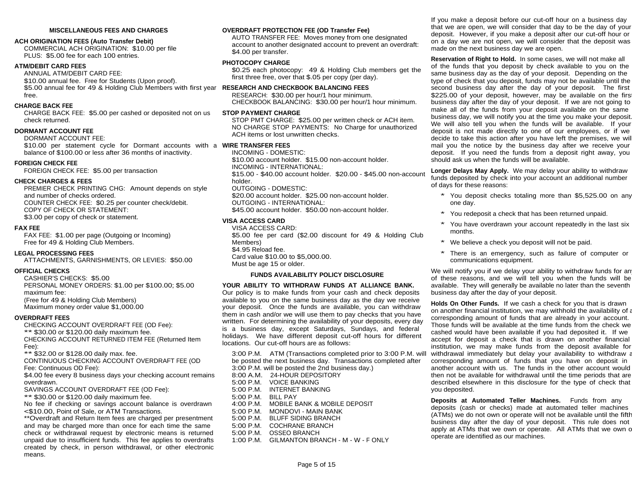# **MISCELLANEOUS FEES AND CHARGES**

# **ACH ORIGINATION FEES (Auto Transfer Debit)**

COMMERCIAL ACH ORIGINATION: \$10.00 per file PLUS: \$5.00 fee for each 100 entries.

# **ATM/DEBIT CARD FEES**

ANNUAL ATM/DEBIT CARD FEE: \$10.00 annual fee. Free for Students (Upon proof). \$5.00 annual fee for 49 & Holding Club Members with first year **RESEARCH AND CHECKBOOK BALANCING FEES** free.

### **CHARGE BACK FEE**

CHARGE BACK FEE: \$5.00 per cashed or deposited not on us check returned.

#### **DORMANT ACCOUNT FEE**

DORMANT ACCOUNT FEE: \$10.00 per statement cycle for Dormant accounts with a **WIRE TRANSFER FEES** balance of \$100.00 or less after 36 months of inactivity.

# **FOREIGN CHECK FEE**

FOREIGN CHECK FEE: \$5.00 per transaction

# **CHECK CHARGES & FEES**

PREMIER CHECK PRINTING CHG: Amount depends on style and number of checks ordered. COUNTER CHECK FEE: \$0.25 per counter check/debit. COPY OF CHECK OR STATEMENT: \$3.00 per copy of check or statement.

# **FAX FEE**

FAX FEE: \$1.00 per page (Outgoing or Incoming) Free for 49 & Holding Club Members.

# **LEGAL PROCESSING FEES**

ATTACHMENTS, GARNISHMENTS, OR LEVIES: \$50.00

#### **OFFICIAL CHECKS**

CASHIER'S CHECKS: \$5.00 PERSONAL MONEY ORDERS: \$1.00 per \$100.00; \$5.00 maximum fee: (Free for 49 & Holding Club Members) Maximum money order value \$1,000.00

#### **OVERDRAFT FEES**

CHECKING ACCOUNT OVERDRAFT FEE (OD Fee): \*\* \$30.00 or \$120.00 daily maximum fee. CHECKING ACCOUNT RETURNED ITEM FEE (Returned Item Fee):

\*\* \$32.00 or \$128.00 daily max. fee.

CONTINUOUS CHECKING ACCOUNT OVERDRAFT FEE (OD Fee: Continuous OD Fee):

\$4.00 fee every 8 business days your checking account remains overdrawn.

SAVINGS ACCOUNT OVERDRAFT FEE (OD Fee):

\*\* \$30.00 or \$120.00 daily maximum fee.

No fee if checking or savings account balance is overdrawn <\$10.00, Point of Sale, or ATM Transactions.

\*\*Overdraft and Return Item fees are charged per presentment and may be charged more than once for each time the same check or withdrawal request by electronic means is returned unpaid due to insufficient funds. This fee applies to overdrafts created by check, in person withdrawal, or other electronic means.

# **OVERDRAFT PROTECTION FEE (OD Transfer Fee)**

AUTO TRANSFER FEE: Moves money from one designated account to another designated account to prevent an overdraft: \$4.00 per transfer.

# **PHOTOCOPY CHARGE**

\$0.25 each photocopy: 49 & Holding Club members get the first three free, over that \$.05 per copy (per day).

RESEARCH: \$30.00 per hour/1 hour minimum. CHECKBOOK BALANCING: \$30.00 per hour/1 hour minimum.

#### **STOP PAYMENT CHARGE**

STOP PMT CHARGE: \$25.00 per written check or ACH item. NO CHARGE STOP PAYMENTS: No Charge for unauthorized ACH items or lost unwritten checks.

INCOMING - DOMESTIC: \$10.00 account holder. \$15.00 non-account holder. INCOMING - INTERNATIONAL: \$15.00 - \$40.00 account holder. \$20.00 - \$45.00 non-account holder. OUTGOING - DOMESTIC: \$20.00 account holder. \$25.00 non-account holder. OUTGOING - INTERNATIONAL: \$45.00 account holder. \$50.00 non-account holder.

# **VISA ACCESS CARD**

VISA ACCESS CARD: \$5.00 fee per card (\$2.00 discount for 49 & Holding Club Members) \$4.95 Reload fee. Card value \$10.00 to \$5,000.00. Must be age 15 or older.

# **FUNDS AVAILABILITY POLICY DISCLOSURE**

**YOUR ABILITY TO WITHDRAW FUNDS AT ALLIANCE BANK.** Our policy is to make funds from your cash and check deposits available to you on the same business day as the day we receive your deposit. Once the funds are available, you can withdraw them in cash and/or we will use them to pay checks that you have written. For determining the availability of your deposits, every day is a business day, except Saturdays, Sundays, and federal holidays. We have different deposit cut-off hours for different locations. Our cut-off hours are as follows:

3:00 P.M. ATM (Transactions completed prior to 3:00 P.M. will be posted the next business day. Transactions completed after 3:00 P.M. will be posted the 2nd business day.) 8:00 A.M. 24-HOUR DEPOSITORY 5:00 P.M. VOICE BANKING 5:00 P.M. INTERNET BANKING 5:00 P.M. BILL PAY 4:00 P.M. MOBILE BANK & MOBILE DEPOSIT 5:00 P.M. MONDOVI - MAIN BANK 5:00 P.M. BLUFF SIDING BRANCH 5:00 P.M. COCHRANE BRANCH 5:00 P.M. OSSEO BRANCH 1:00 P.M. GILMANTON BRANCH - M - W - F ONLY

If you make a deposit before our cut-off hour on a business day that we are open, we will consider that day to be the day of your deposit. However, if you make a deposit after our cut-off hour or on a day we are not open, we will consider that the deposit was made on the next business day we are open.

**Reservation of Right to Hold.** In some cases, we will not make all of the funds that you deposit by check available to you on the same business day as the day of your deposit. Depending on the type of check that you deposit, funds may not be available until the second business day after the day of your deposit. The first \$225.00 of your deposit, however, may be available on the firs business day after the day of your deposit. If we are not going to make all of the funds from your deposit available on the same business day, we will notify you at the time you make your deposit. We will also tell you when the funds will be available. If your deposit is not made directly to one of our employees, or if we decide to take this action after you have left the premises, we will mail you the notice by the business day after we receive your deposit. If you need the funds from a deposit right away, you should ask us when the funds will be available.

**Longer Delays May Apply.** We may delay your ability to withdraw funds deposited by check into your account an additional number of days for these reasons:

- \* You deposit checks totaling more than \$5,525.00 on any one day.
- \* You redeposit <sup>a</sup> check that has been returned unpaid.
- \* You have overdrawn your account repeatedly in the last six months.
- \* We believe <sup>a</sup> check you deposit will not be paid.
- There is an emergency, such as failure of computer or communications equipment.

We will notify you if we delay your ability to withdraw funds for an of these reasons, and we will tell you when the funds will be available. They will generally be available no later than the seventh business day after the day of your deposit.

**Holds On Other Funds.** If we cash a check for you that is drawn on another financial institution, we may withhold the availability of a corresponding amount of funds that are already in your account. Those funds will be available at the time funds from the check we cashed would have been available if you had deposited it. If we accept for deposit a check that is drawn on another financial institution, we may make funds from the deposit available for withdrawal immediately but delay your availability to withdraw a corresponding amount of funds that you have on deposit in another account with us. The funds in the other account would then not be available for withdrawal until the time periods that are described elsewhere in this disclosure for the type of check that you deposited.

**Deposits at Automated Teller Machines.** Funds from any deposits (cash or checks) made at automated teller machines (ATMs) we do not own or operate will not be available until the fifth business day after the day of your deposit. This rule does not apply at ATMs that we own or operate. All ATMs that we own or operate are identified as our machines.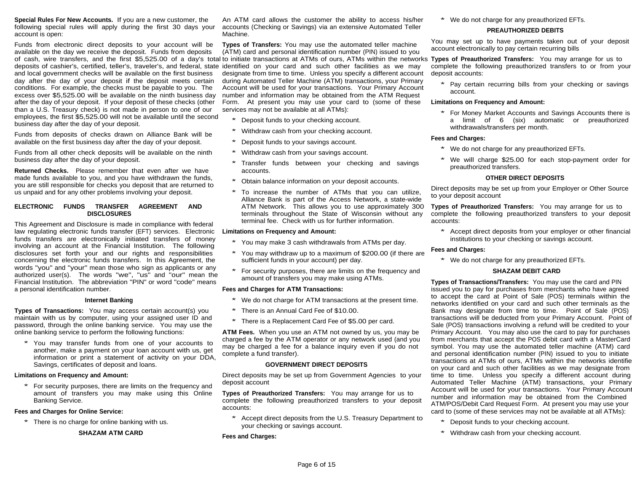**Special Rules For New Accounts.** If you are a new customer, the following special rules will apply during the first 30 days your account is open:

Funds from electronic direct deposits to your account will be available on the day we receive the deposit. Funds from deposits deposits of cashier's, certified, teller's, traveler's, and federal, state identified on your card and such other facilities as we may and local government checks will be available on the first business day after the day of your deposit if the deposit meets certain conditions. For example, the checks must be payable to you. The excess over \$5,525.00 will be available on the ninth business day after the day of your deposit. If your deposit of these checks (other than a U.S. Treasury check) is not made in person to one of our employees, the first \$5,525.00 will not be available until the second business day after the day of your deposit.

Funds from deposits of checks drawn on Alliance Bank will be available on the first business day after the day of your deposit.

Funds from all other check deposits will be available on the ninth business day after the day of your deposit.

**Returned Checks.** Please remember that even after we have made funds available to you, and you have withdrawn the funds, you are still responsible for checks you deposit that are returned to us unpaid and for any other problems involving your deposit.

# **ELECTRONIC FUNDS TRANSFER AGREEMENT AND DISCLOSURES**

This Agreement and Disclosure is made in compliance with federal law regulating electronic funds transfer (EFT) services. Electronic funds transfers are electronically initiated transfers of money involving an account at the Financial Institution. The following disclosures set forth your and our rights and responsibilities concerning the electronic funds transfers. In this Agreement, the words "you" and "your" mean those who sign as applicants or any authorized user(s). The words "we", "us" and "our" mean the Financial Institution. The abbreviation "PIN" or word "code" means a personal identification number.

# **Internet Banking**

**Types of Transactions:** You may access certain account(s) you maintain with us by computer, using your assigned user ID and password, through the online banking service. You may use the online banking service to perform the following functions:

\* You may transfer funds from one of your accounts to another, make a payment on your loan account with us, get information or print a statement of activity on your DDA, Savings, certificates of deposit and loans.

# **Limitations on Frequency and Amount:**

\* For security purposes, there are limits on the frequency and amount of transfers you may make using this Online Banking Service.

# **Fees and Charges for Online Service:**

\* There is no charge for online banking with us.

**SHAZAM ATM CARD**

An ATM card allows the customer the ability to access his/her accounts (Checking or Savings) via an extensive Automated Teller Machine.

of cash, wire transfers, and the first \$5,525.00 of a day's total to initiate transactions at ATMs of ours, ATMs within the networks Types of Preauthorized Transfers: You may arrange for us to **Types of Transfers:** You may use the automated teller machine (ATM) card and personal identification number (PIN) issued to you designate from time to time. Unless you specify a different account during Automated Teller Machine (ATM) transactions, your Primary Account will be used for your transactions. Your Primary Account number and information may be obtained from the ATM Request Form. At present you may use your card to (some of these services may not be available at all ATMs):

- Deposit funds to your checking account.
- Withdraw cash from your checking account.
- \* Deposit funds to your savings account.
- Withdraw cash from your savings account.
- Transfer funds between your checking and savings accounts.
- Obtain balance information on your deposit accounts.
- To increase the number of ATMs that you can utilize, Alliance Bank is part of the Access Network, a state-wide ATM Network. This allows you to use approximately 300 terminals throughout the State of Wisconsin without any terminal fee. Check with us for further information.

# **Limitations on Frequency and Amount:**

- \* You may make <sup>3</sup> cash withdrawals from ATMs per day.
- \* You may withdraw up to <sup>a</sup> maximum of \$200.00 (if there are sufficient funds in your account) per day.
- For security purposes, there are limits on the frequency and amount of transfers you may make using ATMs.

# **Fees and Charges for ATM Transactions:**

- \* We do not charge for ATM transactions at the present time.
- \* There is an Annual Card Fee of \$10.00.
- \* There is <sup>a</sup> Replacement Card Fee of \$5.00 per card.

**ATM Fees.** When you use an ATM not owned by us, you may be charged a fee by the ATM operator or any network used (and you may be charged a fee for a balance inquiry even if you do not complete a fund transfer).

# **GOVERNMENT DIRECT DEPOSITS**

Direct deposits may be set up from Government Agencies to your deposit account

**Types of Preauthorized Transfers:** You may arrange for us to complete the following preauthorized transfers to your deposit accounts:

\* Accept direct deposits from the U.S. Treasury Department to your checking or savings account.

**Fees and Charges:**

\* We do not charge for any preauthorized EFTs.

# **PREAUTHORIZED DEBITS**

You may set up to have payments taken out of your deposit account electronically to pay certain recurring bills

complete the following preauthorized transfers to or from your deposit accounts:

Pay certain recurring bills from your checking or savings account.

### **Limitations on Frequency and Amount:**

\* For Money Market Accounts and Savings Accounts there is a limit of 6 (six) automatic or preauthorized withdrawals/transfers per month.

#### **Fees and Charges:**

- \* We do not charge for any preauthorized EFTs.
- We will charge \$25.00 for each stop-payment order for preauthorized transfers.

# **OTHER DIRECT DEPOSITS**

Direct deposits may be set up from your Employer or Other Source to your deposit account

**Types of Preauthorized Transfers:** You may arrange for us to complete the following preauthorized transfers to your deposit accounts:

\* Accept direct deposits from your employer or other financial institutions to your checking or savings account.

# **Fees and Charges:**

\* We do not charge for any preauthorized EFTs.

# **SHAZAM DEBIT CARD**

**Types of Transactions/Transfers:** You may use the card and PIN issued you to pay for purchases from merchants who have agreed to accept the card at Point of Sale (POS) terminals within the networks identified on your card and such other terminals as the Bank may designate from time to time. Point of Sale (POS) transactions will be deducted from your Primary Account. Point of Sale (POS) transactions involving a refund will be credited to your Primary Account. You may also use the card to pay for purchases from merchants that accept the POS debit card with a MasterCard symbol. You may use the automated teller machine (ATM) card and personal identification number (PIN) issued to you to initiate transactions at ATMs of ours, ATMs within the networks identified on your card and such other facilities as we may designate from time to time. Unless you specify a different account during Automated Teller Machine (ATM) transactions, your Primary Account will be used for your transactions. Your Primary Account number and information may be obtained from the Combined ATM/POS/Debit Card Request Form. At present you may use your card to (some of these services may not be available at all ATMs):

- Deposit funds to your checking account.
- \* Withdraw cash from your checking account.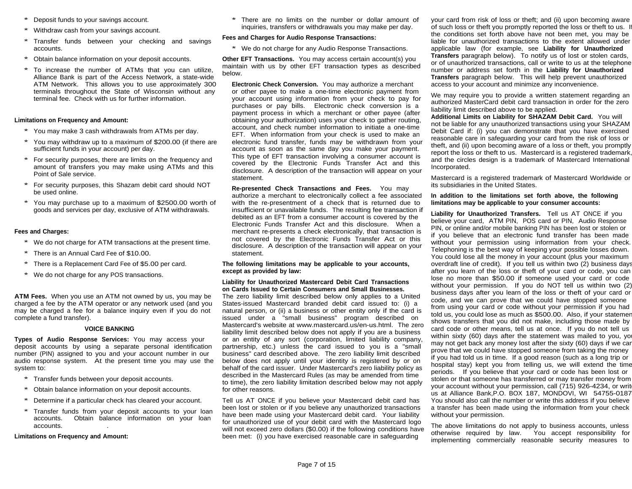- Deposit funds to your savings account.
- \* Withdraw cash from your savings account.
- \* Transfer funds between your checking and savings accounts.
- Obtain balance information on your deposit accounts.
- To increase the number of ATMs that you can utilize, Alliance Bank is part of the Access Network, a state-wide ATM Network. This allows you to use approximately 300 terminals throughout the State of Wisconsin without any terminal fee. Check with us for further information.

#### **Limitations on Frequency and Amount:**

- \* You may make <sup>3</sup> cash withdrawals from ATMs per day.
- \* You may withdraw up to <sup>a</sup> maximum of \$200.00 (if there are sufficient funds in your account) per day.
- \* For security purposes, there are limits on the frequency and amount of transfers you may make using ATMs and this Point of Sale service.
- \* For security purposes, this Shazam debit card should NOT be used online.
- \* You may purchase up to <sup>a</sup> maximum of \$2500.00 worth of goods and services per day, exclusive of ATM withdrawals.

# **Fees and Charges:**

- \* We do not charge for ATM transactions at the present time.
- \* There is an Annual Card Fee of \$10.00.
- \* There is <sup>a</sup> Replacement Card Fee of \$5.00 per card.
- \* We do not charge for any POS transactions.

**ATM Fees.** When you use an ATM not owned by us, you may be charged a fee by the ATM operator or any network used (and you may be charged a fee for a balance inquiry even if you do not complete a fund transfer).

# **VOICE BANKING**

**Types of Audio Response Services:** You may access your deposit accounts by using a separate personal identification number (PIN) assigned to you and your account number in our audio response system. At the present time you may use the system to:

- \* Transfer funds between your deposit accounts.
- Obtain balance information on your deposit accounts.
- Determine if a particular check has cleared your account.
- Transfer funds from your deposit accounts to your loan<br>accounts. Obtain balance information on your loan Obtain balance information on your loan accounts.

# **Limitations on Frequency and Amount:**

\* There are no limits on the number or dollar amount of inquiries, transfers or withdrawals you may make per day.

#### **Fees and Charges for Audio Response Transactions:**

\* We do not charge for any Audio Response Transactions.

**Other EFT Transactions.** You may access certain account(s) you maintain with us by other EFT transaction types as described below.

**Electronic Check Conversion.** You may authorize a merchant or other payee to make a one-time electronic payment from your account using information from your check to pay for purchases or pay bills. Electronic check conversion is a payment process in which a merchant or other payee (after obtaining your authorization) uses your check to gather routing, account, and check number information to initiate a one-time EFT. When information from your check is used to make an electronic fund transfer, funds may be withdrawn from your account as soon as the same day you make your payment. This type of EFT transaction involving a consumer account is covered by the Electronic Funds Transfer Act and this disclosure. A description of the transaction will appear on your statement.

**Re-presented Check Transactions and Fees.** You may authorize a merchant to electronically collect a fee associated with the re-presentment of a check that is returned due to insufficient or unavailable funds. The resulting fee transaction if debited as an EFT from a consumer account is covered by the Electronic Funds Transfer Act and this disclosure. When a merchant re-presents a check electronically, that transaction is not covered by the Electronic Funds Transfer Act or this disclosure. A description of the transaction will appear on your statement.

### **The following limitations may be applicable to your accounts, except as provided by law:**

# **Liability for Unauthorized Mastercard Debit Card Transactions on Cards Issued to Certain Consumers and Small Businesses.**

The zero liability limit described below only applies to a United States-issued Mastercard branded debit card issued to: (i) a natural person, or (ii) a business or other entity only if the card is issued under a "small business" program described on Mastercard's website at www.mastercard.us/en-us.html. The zero liability limit described below does not apply if you are a business or an entity of any sort (corporation, limited liability company, partnership, etc.) unless the card issued to you is a "small business" card described above. The zero liability limit described below does not apply until your identity is registered by or on behalf of the card issuer. Under Mastercard's zero liability policy as described in the Mastercard Rules (as may be amended from time to time), the zero liability limitation described below may not apply for other reasons.

Tell us AT ONCE if you believe your Mastercard debit card has been lost or stolen or if you believe any unauthorized transactions have been made using your Mastercard debit card. Your liability for unauthorized use of your debit card with the Mastercard logo will not exceed zero dollars (\$0.00) if the following conditions have been met: (i) you have exercised reasonable care in safeguarding

your card from risk of loss or theft; and (ii) upon becoming aware of such loss or theft you promptly reported the loss or theft to us. If the conditions set forth above have not been met, you may be liable for unauthorized transactions to the extent allowed under applicable law (for example, see **Liability for Unauthorized Transfers** paragraph below). To notify us of lost or stolen cards, or of unauthorized transactions, call or write to us at the telephone number or address set forth in the **Liability for Unauthorized Transfers** paragraph below. This will help prevent unauthorized access to your account and minimize any inconvenience.

We may require you to provide a written statement regarding an authorized MasterCard debit card transaction in order for the zero liability limit described above to be applied.

**Additional Limits on Liability for SHAZAM Debit Card.** You will not be liable for any unauthorized transactions using your SHAZAM Debit Card if: (i) you can demonstrate that you have exercised reasonable care in safeguarding your card from the risk of loss or theft, and (ii) upon becoming aware of a loss or theft, you promptly report the loss or theft to us. Mastercard is a registered trademark, and the circles design is a trademark of Mastercard International Incorporated.

Mastercard is a registered trademark of Mastercard Worldwide or its subsidiaries in the United States.

#### **In addition to the limitations set forth above, the following limitations may be applicable to your consumer accounts:**

**Liability for Unauthorized Transfers.** Tell us AT ONCE if you believe your card, ATM PIN, POS card or PIN, Audio Response PIN, or online and/or mobile banking PIN has been lost or stolen or if you believe that an electronic fund transfer has been made without your permission using information from your check. Telephoning is the best way of keeping your possible losses down. You could lose all the money in your account (plus your maximum overdraft line of credit). If you tell us within two (2) business days after you learn of the loss or theft of your card or code, you can lose no more than \$50.00 if someone used your card or code without your permission. If you do NOT tell us within two (2) business days after you learn of the loss or theft of your card or code, and we can prove that we could have stopped someone from using your card or code without your permission if you had told us, you could lose as much as \$500.00. Also, if your statement shows transfers that you did not make, including those made by card code or other means, tell us at once. If you do not tell us within sixty (60) days after the statement was mailed to you, you may not get back any money lost after the sixty (60) days if we can prove that we could have stopped someone from taking the money if you had told us in time. If a good reason (such as a long trip or hospital stay) kept you from telling us, we will extend the time periods. If you believe that your card or code has been lost or stolen or that someone has transferred or may transfer money from your account without your permission, call (715) 926-4234, or writ us at Alliance Bank,P.O. BOX 187, MONDOVI, WI 54755-0187. You should also call the number or write this address if you believe a transfer has been made using the information from your check without your permission.

The above limitations do not apply to business accounts, unless otherwise required by law. You accept responsibility for implementing commercially reasonable security measures to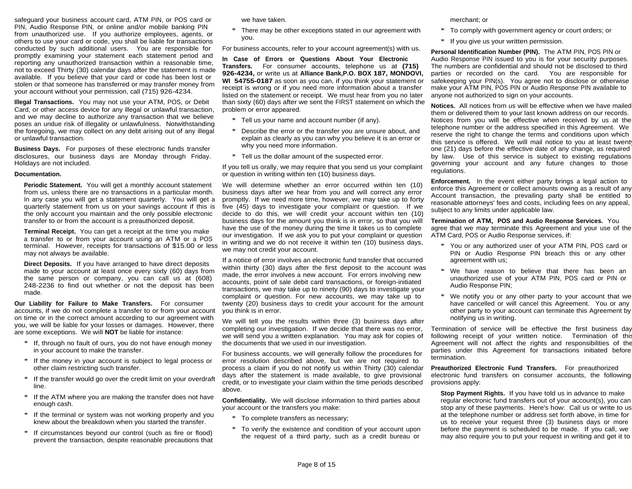safeguard your business account card, ATM PIN, or POS card or PIN, Audio Response PIN, or online and/or mobile banking PIN from unauthorized use. If you authorize employees, agents, or others to use your card or code, you shall be liable for transactions conducted by such additional users. You are responsible for promptly examining your statement each statement period and reporting any unauthorized transaction within a reasonable time, not to exceed Thirty (30) calendar days after the statement is made available. If you believe that your card or code has been lost or stolen or that someone has transferred or may transfer money from your account without your permission, call (715) 926-4234.

**Illegal Transactions.** You may not use your ATM, POS, or Debit Card, or other access device for any illegal or unlawful transaction, and we may decline to authorize any transaction that we believe poses an undue risk of illegality or unlawfulness. Notwithstanding the foregoing, we may collect on any debt arising out of any illegal or unlawful transaction.

**Business Days.** For purposes of these electronic funds transfer disclosures, our business days are Monday through Friday. Holidays are not included.

# **Documentation.**

**Periodic Statement.** You will get a monthly account statement from us, unless there are no transactions in a particular month. In any case you will get a statement quarterly. You will get a quarterly statement from us on your savings account if this is the only account you maintain and the only possible electronic transfer to or from the account is a preauthorized deposit.

**Terminal Receipt.** You can get a receipt at the time you make a transfer to or from your account using an ATM or a POS terminal. However, receipts for transactions of \$15.00 or less may not always be available.

**Direct Deposits.** If you have arranged to have direct deposits made to your account at least once every sixty (60) days from the same person or company, you can call us at (608) 248-2236 to find out whether or not the deposit has been made.

**Our Liability for Failure to Make Transfers.** For consumer accounts, if we do not complete a transfer to or from your account on time or in the correct amount according to our agreement with you, we will be liable for your losses or damages. However, there are some exceptions. We will **NOT** be liable for instance:

- \* If, through no fault of ours, you do not have enough money in your account to make the transfer.
- \* If the money in your account is subject to legal process or other claim restricting such transfer.
- \* If the transfer would go over the credit limit on your overdraft line.
- \* If the ATM where you are making the transfer does not have enough cash.
- \* If the terminal or system was not working properly and you knew about the breakdown when you started the transfer.
- \* If circumstances beyond our control (such as fire or flood) prevent the transaction, despite reasonable precautions that

we have taken.

\* There may be other exceptions stated in our agreement with you.

For business accounts, refer to your account agreement(s) with us.

**In Case of Errors or Questions About Your Electronic Transfers.** For consumer accounts, telephone us at **(715) 926-4234,** or write us at **Alliance Bank,P.O. BOX 187, MONDOVI, WI 54755-0187** as soon as you can, if you think your statement or receipt is wrong or if you need more information about a transfer listed on the statement or receipt. We must hear from you no later than sixty (60) days after we sent the FIRST statement on which the problem or error appeared.

- \* Tell us your name and account number (if any).
- Describe the error or the transfer you are unsure about, and explain as clearly as you can why you believe it is an error or why you need more information.
- Tell us the dollar amount of the suspected error.

If you tell us orally, we may require that you send us your complaint or question in writing within ten (10) business days.

We will determine whether an error occurred within ten (10) business days after we hear from you and will correct any error promptly. If we need more time, however, we may take up to forty five (45) days to investigate your complaint or question. If we decide to do this, we will credit your account within ten (10) business days for the amount you think is in error, so that you will have the use of the money during the time it takes us to complete our investigation. If we ask you to put your complaint or question in writing and we do not receive it within ten (10) business days, we may not credit your account.

If a notice of error involves an electronic fund transfer that occurred within thirty (30) days after the first deposit to the account was made, the error involves a new account. For errors involving new accounts, point of sale debit card transactions, or foreign-initiated transactions, we may take up to ninety (90) days to investigate your complaint or question. For new accounts, we may take up to twenty (20) business days to credit your account for the amount you think is in error.

We will tell you the results within three (3) business days after completing our investigation. If we decide that there was no error, we will send you a written explanation. You may ask for copies of the documents that we used in our investigation.

For business accounts, we will generally follow the procedures for error resolution described above, but we are not required to process a claim if you do not notify us within Thirty (30) calendar days after the statement is made available, to give provisional credit, or to investigate your claim within the time periods described above.

**Confidentiality.** We will disclose information to third parties about your account or the transfers you make:

- \* To complete transfers as necessary;
- To verify the existence and condition of your account upon the request of a third party, such as a credit bureau or

merchant; or

- \* To comply with government agency or court orders; or
- \* If you give us your written permission.

**Personal Identification Number (PIN).** The ATM PIN, POS PIN or Audio Response PIN issued to you is for your security purposes. The numbers are confidential and should not be disclosed to third parties or recorded on the card. You are responsible for safekeeping your PIN(s). You agree not to disclose or otherwise make your ATM PIN, POS PIN or Audio Response PIN available to anyone not authorized to sign on your accounts.

**Notices.** All notices from us will be effective when we have mailed them or delivered them to your last known address on our records. Notices from you will be effective when received by us at the telephone number or the address specified in this Agreement. We reserve the right to change the terms and conditions upon which this service is offered. We will mail notice to you at least twent one (21) days before the effective date of any change, as required by law. Use of this service is subject to existing regulations governing your account and any future changes to those regulations.

**Enforcement.** In the event either party brings a legal action to enforce this Agreement or collect amounts owing as a result of any Account transaction, the prevailing party shall be entitled to reasonable attorneys' fees and costs, including fees on any appeal, subject to any limits under applicable law.

**Termination of ATM, POS and Audio Response Services.** You agree that we may terminate this Agreement and your use of the ATM Card, POS or Audio Response services, if:

- You or any authorized user of your ATM PIN, POS card or PIN or Audio Response PIN breach this or any other agreement with us;
- We have reason to believe that there has been an unauthorized use of your ATM PIN, POS card or PIN or Audio Response PIN;
- \* We notify you or any other party to your account that we have cancelled or will cancel this Agreement. You or any other party to your account can terminate this Agreement by notifying us in writing.

Termination of service will be effective the first business day following receipt of your written notice. Termination of this Agreement will not affect the rights and responsibilities of the parties under this Agreement for transactions initiated before termination.

**Preauthorized Electronic Fund Transfers.** For preauthorized electronic fund transfers on consumer accounts, the following provisions apply:

**Stop Payment Rights.** If you have told us in advance to make regular electronic fund transfers out of your account(s), you can stop any of these payments. Here's how: Call us or write to us at the telephone number or address set forth above, in time for us to receive your request three (3) business days or more before the payment is scheduled to be made. If you call, we may also require you to put your request in writing and get it to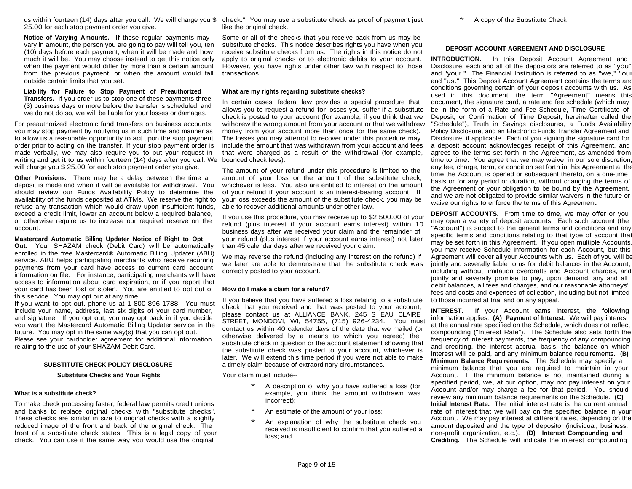us within fourteen (14) days after you call. We will charge you \$ check." You may use a substitute check as proof of payment just 25.00 for each stop payment order you give.

**Notice of Varying Amounts.** If these regular payments may vary in amount, the person you are going to pay will tell you, ten (10) days before each payment, when it will be made and how much it will be. You may choose instead to get this notice only when the payment would differ by more than a certain amount from the previous payment, or when the amount would fall outside certain limits that you set.

# **Liability for Failure to Stop Payment of Preauthorized**

**Transfers.** If you order us to stop one of these payments three (3) business days or more before the transfer is scheduled, and we do not do so, we will be liable for your losses or damages.

For preauthorized electronic fund transfers on business accounts, you may stop payment by notifying us in such time and manner as to allow us a reasonable opportunity to act upon the stop payment order prior to acting on the transfer. If your stop payment order is made verbally, we may also require you to put your request in writing and get it to us within fourteen (14) days after you call. We bounced check fees). will charge you \$ 25.00 for each stop payment order you give.

**Other Provisions.** There may be a delay between the time a deposit is made and when it will be available for withdrawal. You should review our Funds Availability Policy to determine the availability of the funds deposited at ATMs. We reserve the right to refuse any transaction which would draw upon insufficient funds, exceed a credit limit, lower an account below a required balance, or otherwise require us to increase our required reserve on the account.

# **Mastercard Automatic Billing Updater Notice of Right to Opt**

**Out.** Your SHAZAM check (Debit Card) will be automatically enrolled in the free Mastercard® Automatic Billing Updater (ABU) service. ABU helps participating merchants who receive recurring payments from your card have access to current card account information on file. For instance, participating merchants will have access to information about card expiration, or if you report that your card has been lost or stolen. You are entitled to opt out of this service. You may opt out at any time.

If you want to opt out, phone us at 1-800-896-1788. You must include your name, address, last six digits of your card number, and signature. If you opt out, you may opt back in if you decide you want the Mastercard Automatic Billing Updater service in the future. You may opt in the same way(s) that you can opt out. Please see your cardholder agreement for additional information relating to the use of your SHAZAM Debit Card.

# **SUBSTITUTE CHECK POLICY DISCLOSURE**

### **Substitute Checks and Your Rights**

# **What is a substitute check?**

To make check processing faster, federal law permits credit unions and banks to replace original checks with "substitute checks". These checks are similar in size to original checks with a slightly reduced image of the front and back of the original check. The front of a substitute check states: "This is a legal copy of your check. You can use it the same way you would use the original

like the original check.

Some or all of the checks that you receive back from us may be substitute checks. This notice describes rights you have when you receive substitute checks from us. The rights in this notice do not apply to original checks or to electronic debits to your account. However, you have rights under other law with respect to those transactions.

# **What are my rights regarding substitute checks?**

In certain cases, federal law provides a special procedure that allows you to request a refund for losses you suffer if a substitute check is posted to your account (for example, if you think that we withdrew the wrong amount from your account or that we withdrew money from your account more than once for the same check). The losses you may attempt to recover under this procedure may include the amount that was withdrawn from your account and fees that were charged as a result of the withdrawal (for example,

The amount of your refund under this procedure is limited to the amount of your loss or the amount of the substitute check, whichever is less. You also are entitled to interest on the amount of your refund if your account is an interest-bearing account. If your loss exceeds the amount of the substitute check, you may be able to recover additional amounts under other law.

If you use this procedure, you may receive up to \$2,500.00 of your refund (plus interest if your account earns interest) within 10 business days after we received your claim and the remainder of your refund (plus interest if your account earns interest) not later than 45 calendar days after we received your claim.

We may reverse the refund (including any interest on the refund) if we later are able to demonstrate that the substitute check was correctly posted to your account.

# **How do I make a claim for a refund?**

If you believe that you have suffered a loss relating to a substitute check that you received and that was posted to your account, please contact us at ALLIANCE BANK, 245 S EAU CLAIRE STREET, MONDOVI, WI, 54755, (715) 926-4234. You must contact us within 40 calendar days of the date that we mailed (or otherwise delivered by a means to which you agreed) the substitute check in question or the account statement showing that the substitute check was posted to your account, whichever is later. We will extend this time period if you were not able to make a timely claim because of extraordinary circumstances.

Your claim must include--

- A description of why you have suffered a loss (for example, you think the amount withdrawn was incorrect);
- An estimate of the amount of your loss;
- An explanation of why the substitute check you received is insufficient to confirm that you suffered a loss; and

A copy of the Substitute Check

#### **DEPOSIT ACCOUNT AGREEMENT AND DISCLOSURE**

**INTRODUCTION.** In this Deposit Account Agreement and Disclosure, each and all of the depositors are referred to as "you" and "your." The Financial Institution is referred to as "we," "our and "us." This Deposit Account Agreement contains the terms and conditions governing certain of your deposit accounts with us. As used in this document, the term "Agreement" means this document, the signature card, a rate and fee schedule (which may be in the form of a Rate and Fee Schedule, Time Certificate of Deposit, or Confirmation of Time Deposit, hereinafter called the "Schedule"), Truth in Savings disclosures, a Funds Availability Policy Disclosure, and an Electronic Funds Transfer Agreement and Disclosure, if applicable. Each of you signing the signature card for a deposit account acknowledges receipt of this Agreement, and agrees to the terms set forth in the Agreement, as amended from time to time. You agree that we may waive, in our sole discretion, any fee, charge, term, or condition set forth in this Agreement at the time the Account is opened or subsequent thereto, on a one-time basis or for any period or duration, without changing the terms of the Agreement or your obligation to be bound by the Agreement, and we are not obligated to provide similar waivers in the future or waive our rights to enforce the terms of this Agreement.

**DEPOSIT ACCOUNTS.** From time to time, we may offer or you may open a variety of deposit accounts. Each such account (the "Account") is subject to the general terms and conditions and any specific terms and conditions relating to that type of account that may be set forth in this Agreement. If you open multiple Accounts, you may receive Schedule information for each Account, but this Agreement will cover all your Accounts with us. Each of you will be jointly and severally liable to us for debit balances in the Account, including without limitation overdrafts and Account charges, and jointly and severally promise to pay, upon demand, any and all debit balances, all fees and charges, and our reasonable attorneys' fees and costs and expenses of collection, including but not limited to those incurred at trial and on any appeal.

**INTEREST.** If your Account earns interest, the following information applies: **(A) Payment of Interest.** We will pay interest at the annual rate specified on the Schedule, which does not reflect compounding ("Interest Rate"). The Schedule also sets forth the frequency of interest payments, the frequency of any compounding and crediting, the interest accrual basis, the balance on which interest will be paid, and any minimum balance requirements. **(B) Minimum Balance Requirements.** The Schedule may specify a minimum balance that you are required to maintain in your Account. If the minimum balance is not maintained during a specified period, we, at our option, may not pay interest on your Account and/or may charge a fee for that period. You should review any minimum balance requirements on the Schedule. **(C) Initial Interest Rate.** The initial interest rate is the current annual rate of interest that we will pay on the specified balance in your Account. We may pay interest at different rates, depending on the amount deposited and the type of depositor (individual, business, non-profit organization, etc.). **(D) Interest Compounding and Crediting.** The Schedule will indicate the interest compounding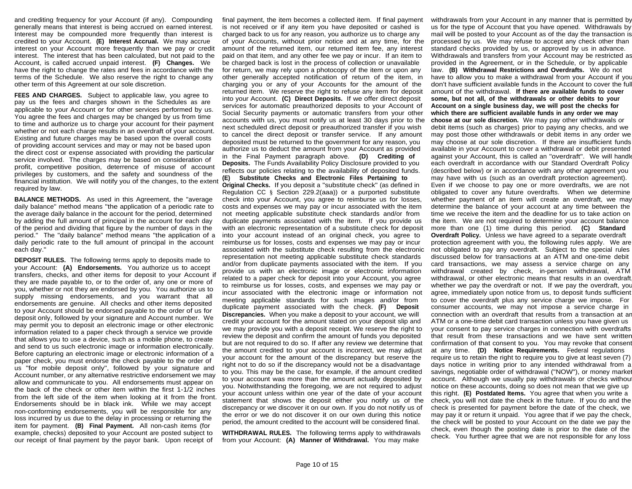and crediting frequency for your Account (if any). Compounding generally means that interest is being accrued on earned interest. Interest may be compounded more frequently than interest is credited to your Account. **(E) Interest Accrual.** We may accrue interest on your Account more frequently than we pay or credit interest. The interest that has been calculated, but not paid to the Account, is called accrued unpaid interest. **(F) Changes.** We have the right to change the rates and fees in accordance with the terms of the Schedule. We also reserve the right to change any other term of this Agreement at our sole discretion.

**FEES AND CHARGES.** Subject to applicable law, you agree to pay us the fees and charges shown in the Schedules as are applicable to your Account or for other services performed by us. You agree the fees and charges may be changed by us from time to time and authorize us to charge your account for their payment whether or not each charge results in an overdraft of your account. Existing and future charges may be based upon the overall costs of providing account services and may or may not be based upon the direct cost or expense associated with providing the particular service involved. The charges may be based on consideration of profit, competitive position, deterrence of misuse of account privileges by customers, and the safety and soundness of the financial institution. We will notify you of the changes, to the extent required by law.

**BALANCE METHODS.** As used in this Agreement, the "average daily balance" method means "the application of a periodic rate to the average daily balance in the account for the period, determined by adding the full amount of principal in the account for each day of the period and dividing that figure by the number of days in the period." The "daily balance" method means "the application of a daily periodic rate to the full amount of principal in the account each day."

**DEPOSIT RULES.** The following terms apply to deposits made to your Account: **(A) Endorsements.** You authorize us to accept transfers, checks, and other items for deposit to your Account if they are made payable to, or to the order of, any one or more of you, whether or not they are endorsed by you. You authorize us to supply missing endorsements, and you warrant that all endorsements are genuine. All checks and other items deposited to your Account should be endorsed payable to the order of us for deposit only, followed by your signature and Account number. We may permit you to deposit an electronic image or other electronic information related to a paper check through a service we provide that allows you to use a device, such as a mobile phone, to create and send to us such electronic image or information electronically. Before capturing an electronic image or electronic information of a paper check, you must endorse the check payable to the order of us "for mobile deposit only", followed by your signature and Account number, or any alternative restrictive endorsement we may allow and communicate to you. All endorsements must appear on the back of the check or other item within the first 1-1/2 inches from the left side of the item when looking at it from the front. Endorsements should be in black ink. While we may accept non-conforming endorsements, you will be responsible for any loss incurred by us due to the delay in processing or returning the item for payment. **(B) Final Payment.** All non-cash items (for example, checks) deposited to your Account are posted subject to our receipt of final payment by the payor bank. Upon receipt of

final payment, the item becomes a collected item. If final payment is not received or if any item you have deposited or cashed is charged back to us for any reason, you authorize us to charge any of your Accounts, without prior notice and at any time, for the amount of the returned item, our returned item fee, any interest paid on that item, and any other fee we pay or incur. If an item to be charged back is lost in the process of collection or unavailable for return, we may rely upon a photocopy of the item or upon any other generally accepted notification of return of the item, in charging you or any of your Accounts for the amount of the returned item. We reserve the right to refuse any item for deposit into your Account. **(C) Direct Deposits.** If we offer direct deposit services for automatic preauthorized deposits to your Account of Social Security payments or automatic transfers from your other accounts with us, you must notify us at least 30 days prior to the next scheduled direct deposit or preauthorized transfer if you wish to cancel the direct deposit or transfer service. If any amount deposited must be returned to the government for any reason, you authorize us to deduct the amount from your Account as provided in the Final Payment paragraph above. **(D) Crediting of Deposits.** The Funds Availability Policy Disclosure provided to you reflects our policies relating to the availability of deposited funds.

**(E) Substitute Checks and Electronic Files Pertaining to Original Checks.** If you deposit a "substitute check" (as defined in Regulation CC § Section 229.2(aaa)) or a purported substitute check into your Account, you agree to reimburse us for losses, costs and expenses we may pay or incur associated with the item not meeting applicable substitute check standards and/or from duplicate payments associated with the item. If you provide us with an electronic representation of a substitute check for deposit into your account instead of an original check, you agree to reimburse us for losses, costs and expenses we may pay or incur associated with the substitute check resulting from the electronic representation not meeting applicable substitute check standards and/or from duplicate payments associated with the item. If you provide us with an electronic image or electronic information related to a paper check for deposit into your Account, you agree to reimburse us for losses, costs, and expenses we may pay or incur associated with the electronic image or information not meeting applicable standards for such images and/or from duplicate payment associated with the check. **(F) Deposit Discrepancies.** When you make a deposit to your account, we will credit your account for the amount stated on your deposit slip and we may provide you with a deposit receipt. We reserve the right to review the deposit and confirm the amount of funds you deposited but are not required to do so. If after any review we determine that the amount credited to your account is incorrect, we may adjust your account for the amount of the discrepancy but reserve the right not to do so if the discrepancy would not be a disadvantage to you. This may be the case, for example, if the amount credited to your account was more than the amount actually deposited by you. Notwithstanding the foregoing, we are not required to adjust your account unless within one year of the date of your account statement that shows the deposit either you notify us of the discrepancy or we discover it on our own. If you do not notify us of the error or we do not discover it on our own during this notice period, the amount credited to the account will be considered final.

**WITHDRAWAL RULES.** The following terms apply to withdrawals from your Account: **(A) Manner of Withdrawal.** You may make

withdrawals from your Account in any manner that is permitted by us for the type of Account that you have opened. Withdrawals by mail will be posted to your Account as of the day the transaction is processed by us. We may refuse to accept any check other than standard checks provided by us, or approved by us in advance. Withdrawals and transfers from your Account may be restricted as provided in the Agreement, or in the Schedule, or by applicable law. **(B) Withdrawal Restrictions and Overdrafts.** We do not have to allow you to make a withdrawal from your Account if you don't have sufficient available funds in the Account to cover the full amount of the withdrawal. **If there are available funds to cover some, but not all, of the withdrawals or other debits to your Account on a single business day, we will post the checks for which there are sufficient available funds in any order we may choose at our sole discretion.** We may pay other withdrawals or debit items (such as charges) prior to paying any checks, and we may post those other withdrawals or debit items in any order we may choose at our sole discretion. If there are insufficient funds available in your Account to cover a withdrawal or debit presented against your Account, this is called an "overdraft". We will handle each overdraft in accordance with our Standard Overdraft Policy (described below) or in accordance with any other agreement you may have with us (such as an overdraft protection agreement). Even if we choose to pay one or more overdrafts, we are not obligated to cover any future overdrafts. When we determine whether payment of an item will create an overdraft, we may determine the balance of your account at any time between the time we receive the item and the deadline for us to take action on the item. We are not required to determine your account balance more than one (1) time during this period. **(C) Standard Overdraft Policy.** Unless we have agreed to a separate overdraft protection agreement with you, the following rules apply. We are not obligated to pay any overdraft. Subject to the special rules discussed below for transactions at an ATM and one-time debit card transactions, we may assess a service charge on any withdrawal created by check, in-person withdrawal, ATM withdrawal, or other electronic means that results in an overdraft whether we pay the overdraft or not. If we pay the overdraft, you agree, immediately upon notice from us, to deposit funds sufficient to cover the overdraft plus any service charge we impose. For consumer accounts, we may not impose a service charge in connection with an overdraft that results from a transaction at an ATM or a one-time debit card transaction unless you have given us your consent to pay service charges in connection with overdrafts that result from these transactions and we have sent written confirmation of that consent to you. You may revoke that consent at any time. **(D) Notice Requirements.** Federal regulations require us to retain the right to require you to give at least seven (7) days notice in writing prior to any intended withdrawal from a savings, negotiable order of withdrawal ("NOW"), or money market account. Although we usually pay withdrawals or checks without notice on these accounts, doing so does not mean that we give up this right. **(E) Postdated Items.** You agree that when you write a check, you will not date the check in the future. If you do and the check is presented for payment before the date of the check, we may pay it or return it unpaid. You agree that if we pay the check, the check will be posted to your Account on the date we pay the check, even though the posting date is prior to the date of the check. You further agree that we are not responsible for any loss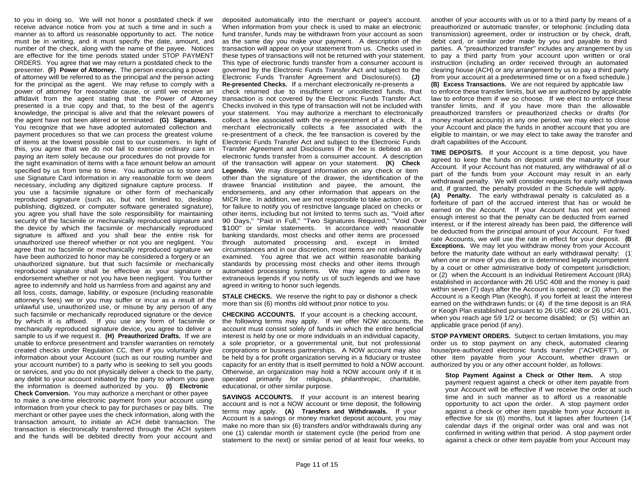to you in doing so. We will not honor a postdated check if we receive advance notice from you at such a time and in such a manner as to afford us reasonable opportunity to act. The notice must be in writing, and it must specify the date, amount, and number of the check, along with the name of the payee. Notices are effective for the time periods stated under STOP PAYMENT ORDERS. You agree that we may return a postdated check to the presenter. **(F) Power of Attorney.** The person executing a power of attorney will be referred to as the principal and the person acting for the principal as the agent. We may refuse to comply with a power of attorney for reasonable cause, or until we receive an affidavit from the agent stating that the Power of Attorney transaction is not covered by the Electronic Funds Transfer Act. presented is a true copy and that, to the best of the agent's knowledge, the principal is alive and that the relevant powers of the agent have not been altered or terminated. **(G) Signatures.** You recognize that we have adopted automated collection and payment procedures so that we can process the greatest volume of items at the lowest possible cost to our customers. In light of this, you agree that we do not fail to exercise ordinary care in paying an item solely because our procedures do not provide for the sight examination of items with a face amount below an amount specified by us from time to time. You authorize us to store and use Signature Card information in any reasonable form we deem necessary, including any digitized signature capture process. If you use a facsimile signature or other form of mechanically reproduced signature (such as, but not limited to, desktop publishing, digitized, or computer software generated signature), you agree you shall have the sole responsibility for maintaining security of the facsimile or mechanically reproduced signature and the device by which the facsimile or mechanically reproduced signature is affixed and you shall bear the entire risk for unauthorized use thereof whether or not you are negligent. You agree that no facsimile or mechanically reproduced signature we have been authorized to honor may be considered a forgery or an unauthorized signature, but that such facsimile or mechanically reproduced signature shall be effective as your signature or endorsement whether or not you have been negligent. You further agree to indemnify and hold us harmless from and against any and all loss, costs, damage, liability, or exposure (including reasonable attorney's fees) we or you may suffer or incur as a result of the unlawful use, unauthorized use, or misuse by any person of any such facsimile or mechanically reproduced signature or the device by which it is affixed. If you use any form of facsimile or mechanically reproduced signature device, you agree to deliver a sample to us if we request it. **(H) Preauthorized Drafts.** If we are unable to enforce presentment and transfer warranties on remotely created checks under Regulation CC, then if you voluntarily give information about your Account (such as our routing number and your account number) to a party who is seeking to sell you goods or services, and you do not physically deliver a check to the party, any debit to your account initiated by the party to whom you gave the information is deemed authorized by you. **(I) Electronic Check Conversion.** You may authorize a merchant or other payee to make a one-time electronic payment from your account using information from your check to pay for purchases or pay bills. The merchant or other payee uses the check information, along with the transaction amount, to initiate an ACH debit transaction. The transaction is electronically transferred through the ACH system and the funds will be debited directly from your account and

deposited automatically into the merchant or payee's account. When information from your check is used to make an electronic fund transfer, funds may be withdrawn from your account as soon as the same day you make your payment. A description of the transaction will appear on your statement from us. Checks used in these types of transactions will not be returned with your statement. This type of electronic funds transfer from a consumer account is governed by the Electronic Funds Transfer Act and subject to the Electronic Funds Transfer Agreement and Disclosure(s). **(J) Re-presented Checks.** If a merchant electronically re-presents a check returned due to insufficient or uncollected funds, that Checks involved in this type of transaction will not be included with your statement. You may authorize a merchant to electronically collect a fee associated with the re-presentment of a check. If a merchant electronically collects a fee associated with the re-presentment of a check, the fee transaction is covered by the Electronic Funds Transfer Act and subject to the Electronic Funds Transfer Agreement and Disclosures if the fee is debited as an electronic funds transfer from a consumer account. A description of the transaction will appear on your statement. **(K) Check Legends.** We may disregard information on any check or item other than the signature of the drawer, the identification of the drawee financial institution and payee, the amount, the endorsements, and any other information that appears on the MICR line. In addition, we are not responsible to take action on, or for failure to notify you of restrictive language placed on checks or other items, including but not limited to terms such as, "Void after 90 Days," "Paid in Full," "Two Signatures Required," "Void Over \$100" or similar statements. In accordance with reasonable banking standards, most checks and other items are processed through automated processing and, except in limited circumstances and in our discretion, most items are not individually examined. You agree that we act within reasonable banking standards by processing most checks and other items through automated processing systems. We may agree to adhere to extraneous legends if you notify us of such legends and we have agreed in writing to honor such legends.

**STALE CHECKS.** We reserve the right to pay or dishonor a check more than six (6) months old without prior notice to you.

**CHECKING ACCOUNTS.** If your account is a checking account, the following terms may apply. If we offer NOW accounts, the account must consist solely of funds in which the entire beneficial interest is held by one or more individuals in an individual capacity, a sole proprietor, or a governmental unit, but not professional corporations or business partnerships. A NOW account may also be held by a for profit organization serving in a fiduciary or trustee capacity for an entity that is itself permitted to hold a NOW account. Otherwise, an organization may hold a NOW account only if it is operated primarily for religious, philanthropic, charitable, educational, or other similar purpose.

**SAVINGS ACCOUNTS.** If your account is an interest bearing account and is not a NOW account or time deposit, the following terms may apply. **(A) Transfers and Withdrawals.** If your Account is a savings or money market deposit account, you may make no more than six (6) transfers and/or withdrawals during any one (1) calendar month or statement cycle (the period from one statement to the next) or similar period of at least four weeks, to

another of your accounts with us or to a third party by means of a preauthorized or automatic transfer, or telephonic (including data transmission) agreement, order or instruction or by check, draft, debit card, or similar order made by you and payable to third parties. A "preauthorized transfer" includes any arrangement by us to pay a third party from your account upon written or oral instruction (including an order received through an automated clearing house (ACH) or any arrangement by us to pay a third party from your account at a predetermined time or on a fixed schedule.)

**(B) Excess Transactions.** We are not required by applicable law to enforce these transfer limits, but we are authorized by applicable law to enforce them if we so choose. If we elect to enforce these transfer limits, and if you have more than the allowable preauthorized transfers or preauthorized checks or drafts (for money market accounts) in any one period, we may elect to close your Account and place the funds in another account that you are eligible to maintain, or we may elect to take away the transfer and draft capabilities of the Account.

**TIME DEPOSITS.** If your Account is a time deposit, you have agreed to keep the funds on deposit until the maturity of your Account. If your Account has not matured, any withdrawal of all or part of the funds from your Account may result in an early withdrawal penalty. We will consider requests for early withdrawa and, if granted, the penalty provided in the Schedule will apply. **(A) Penalty.** The early withdrawal penalty is calculated as a forfeiture of part of the accrued interest that has or would be earned on the Account. If your Account has not yet earned enough interest so that the penalty can be deducted from earned interest, or if the interest already has been paid, the difference will be deducted from the principal amount of your Account. For fixed rate Accounts, we will use the rate in effect for your deposit. **(B) Exceptions.** We may let you withdraw money from your Account before the maturity date without an early withdrawal penalty: (1) when one or more of you dies or is determined legally incompetent by a court or other administrative body of competent jurisdiction; or (2) when the Account is an Individual Retirement Account (IRA) established in accordance with 26 USC 408 and the money is paid within seven (7) days after the Account is opened; or (3) when the Account is a Keogh Plan (Keogh), if you forfeit at least the interest earned on the withdrawn funds; or (4) if the time deposit is an IRA or Keogh Plan established pursuant to 26 USC 408 or 26 USC 401, when you reach age 59 1/2 or become disabled; or (5) within an applicable grace period (if any).

**STOP PAYMENT ORDERS.** Subject to certain limitations, you may order us to stop payment on any check, automated clearing house/pre-authorized electronic funds transfer ("ACH/EFT"), or other item payable from your Account, whether drawn or authorized by you or any other account holder, as follows:

**Stop Payment Against a Check or Other Item.** A stop payment request against a check or other item payable from your Account will be effective if we receive the order at such time and in such manner as to afford us a reasonable opportunity to act upon the order. A stop payment order against a check or other item payable from your Account is effective for six (6) months, but it lapses after fourteen (14) calendar days if the original order was oral and was not confirmed in writing within that period. A stop payment order against a check or other item payable from your Account may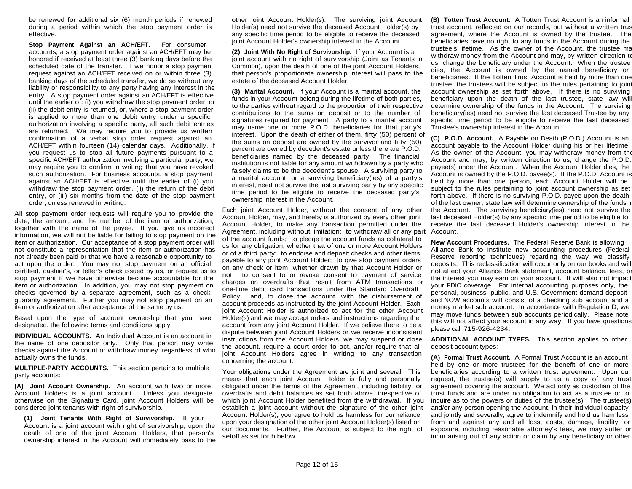be renewed for additional six (6) month periods if renewed during a period within which the stop payment order is effective.

**Stop Payment Against an ACH/EFT.** For consumer accounts, a stop payment order against an ACH/EFT may be honored if received at least three (3) banking days before the scheduled date of the transfer. If we honor a stop payment request against an ACH/EFT received on or within three (3) banking days of the scheduled transfer, we do so without any liability or responsibility to any party having any interest in the entry. A stop payment order against an ACH/EFT is effective until the earlier of: (i) you withdraw the stop payment order, or (ii) the debit entry is returned, or, where a stop payment order is applied to more than one debit entry under a specific authorization involving a specific party, all such debit entries are returned. We may require you to provide us written confirmation of a verbal stop order request against an ACH/EFT within fourteen (14) calendar days. Additionally, if you request us to stop all future payments pursuant to a specific ACH/EFT authorization involving a particular party, we may require you to confirm in writing that you have revoked such authorization. For business accounts, a stop payment against an ACH/EFT is effective until the earlier of (i) you withdraw the stop payment order, (ii) the return of the debit entry, or (iii) six months from the date of the stop payment order, unless renewed in writing.

All stop payment order requests will require you to provide the date, the amount, and the number of the item or authorization, together with the name of the payee. If you give us incorrect information, we will not be liable for failing to stop payment on the item or authorization. Our acceptance of a stop payment order will not constitute a representation that the item or authorization has not already been paid or that we have a reasonable opportunity to act upon the order. You may not stop payment on an official, certified, cashier's, or teller's check issued by us, or request us to stop payment if we have otherwise become accountable for the item or authorization. In addition, you may not stop payment on checks governed by a separate agreement, such as a check guaranty agreement. Further you may not stop payment on an item or authorization after acceptance of the same by us.

Based upon the type of account ownership that you have designated, the following terms and conditions apply.

**INDIVIDUAL ACCOUNTS.** An Individual Account is an account in the name of one depositor only. Only that person may write checks against the Account or withdraw money, regardless of who actually owns the funds.

**MULTIPLE-PARTY ACCOUNTS.** This section pertains to multiple party accounts:

**(A) Joint Account Ownership.** An account with two or more Account Holders is a joint account. Unless you designate otherwise on the Signature Card, joint Account Holders will be considered joint tenants with right of survivorship.

**(1) Joint Tenants With Right of Survivorship.** If your Account is a joint account with right of survivorship, upon the death of one of the joint Account Holders, that person's ownership interest in the Account will immediately pass to the other joint Account Holder(s). The surviving joint Account Holder(s) need not survive the deceased Account Holder(s) by any specific time period to be eligible to receive the deceased joint Account Holder's ownership interest in the Account.

**(2) Joint With No Right of Survivorship.** If your Account is a joint account with no right of survivorship (Joint as Tenants in Common), upon the death of one of the joint Account Holders, that person's proportionate ownership interest will pass to the estate of the deceased Account Holder.

**(3) Marital Account.** If your Account is a marital account, the funds in your Account belong during the lifetime of both parties, to the parties without regard to the proportion of their respective contributions to the sums on deposit or to the number of signatures required for payment. A party to a marital account may name one or more P.O.D. beneficiaries for that party's interest. Upon the death of either of them, fifty (50) percent of the sums on deposit are owned by the survivor and fifty (50) percent are owned by decedent's estate unless there are P.O.D. beneficiaries named by the deceased party. The financial institution is not liable for any amount withdrawn by a party who falsely claims to be the decedent's spouse. A surviving party to a marital account, or a surviving beneficiary(ies) of a party's interest, need not survive the last surviving party by any specific time period to be eligible to receive the deceased party's ownership interest in the Account.

Each joint Account Holder, without the consent of any other Account Holder, may, and hereby is authorized by every other joint Account Holder, to make any transaction permitted under the Agreement, including without limitation: to withdraw all or any part Account. of the account funds; to pledge the account funds as collateral to us for any obligation, whether that of one or more Account Holders or of a third party; to endorse and deposit checks and other items payable to any joint Account Holder; to give stop payment orders on any check or item, whether drawn by that Account Holder or not; to consent to or revoke consent to payment of service charges on overdrafts that result from ATM transactions or one-time debit card transactions under the Standard Overdraft Policy; and, to close the account, with the disbursement of account proceeds as instructed by the joint Account Holder. Each joint Account Holder is authorized to act for the other Account Holder(s) and we may accept orders and instructions regarding the account from any joint Account Holder. If we believe there to be a dispute between joint Account Holders or we receive inconsistent instructions from the Account Holders, we may suspend or close the account, require a court order to act, and/or require that all joint Account Holders agree in writing to any transaction concerning the account.

Your obligations under the Agreement are joint and several. This means that each joint Account Holder is fully and personally obligated under the terms of the Agreement, including liability for overdrafts and debit balances as set forth above, irrespective of which joint Account Holder benefited from the withdrawal. If you establish a joint account without the signature of the other joint Account Holder(s), you agree to hold us harmless for our reliance upon your designation of the other joint Account Holder(s) listed on our documents. Further, the Account is subject to the right of setoff as set forth below.

**(B) Totten Trust Account.** A Totten Trust Account is an informal trust account, reflected on our records, but without a written trust agreement, where the Account is owned by the trustee. The beneficiaries have no right to any funds in the Account during the trustee's lifetime. As the owner of the Account, the trustee may withdraw money from the Account and may, by written direction to us, change the beneficiary under the Account. When the trustee dies, the Account is owned by the named beneficiary or beneficiaries. If the Totten Trust Account is held by more than one trustee, the trustees will be subject to the rules pertaining to joint account ownership as set forth above. If there is no surviving beneficiary upon the death of the last trustee, state law will determine ownership of the funds in the Account. The surviving beneficiary(ies) need not survive the last deceased Trustee by any specific time period to be eligible to receive the last deceased Trustee's ownership interest in the Account.

**(C) P.O.D. Account.** A Payable on Death (P.O.D.) Account is an account payable to the Account Holder during his or her lifetime. As the owner of the Account, you may withdraw money from the Account and may, by written direction to us, change the P.O.D. payee(s) under the Account. When the Account Holder dies, the Account is owned by the P.O.D. payee(s). If the P.O.D. Account is held by more than one person, each Account Holder will be subject to the rules pertaining to joint account ownership as set forth above. If there is no surviving P.O.D. payee upon the death of the last owner, state law will determine ownership of the funds in the Account. The surviving beneficiary(ies) need not survive the last deceased Holder(s) by any specific time period to be eligible to receive the last deceased Holder's ownership interest in the

**New Account Procedures.** The Federal Reserve Bank is allowing Alliance Bank to institute new accounting procedures (Federal Reserve reporting techniques) regarding the way we classify deposits. This reclassification will occur only on our books and will not affect your Alliance Bank statement, account balance, fees, or the interest you may earn on your account. It will also not impact your FDIC coverage. For internal accounting purposes only, the personal, business, public, and U.S. Government demand deposit and NOW accounts will consist of a checking sub account and a money market sub account. In accordance with Regulation D, we may move funds between sub accounts periodically. Please note this will not affect your account in any way. If you have questions, please call 715-926-4234.

**ADDITIONAL ACCOUNT TYPES.** This section applies to other deposit account types:

**(A) Formal Trust Account.** A Formal Trust Account is an account held by one or more trustees for the benefit of one or more beneficiaries according to a written trust agreement. Upon our request, the trustee(s) will supply to us a copy of any trust agreement covering the account. We act only as custodian of the trust funds and are under no obligation to act as a trustee or to inquire as to the powers or duties of the trustee(s). The trustee(s) and/or any person opening the Account, in their individual capacity and jointly and severally, agree to indemnify and hold us harmless from and against any and all loss, costs, damage, liability, or exposure, including reasonable attorney's fees, we may suffer or incur arising out of any action or claim by any beneficiary or other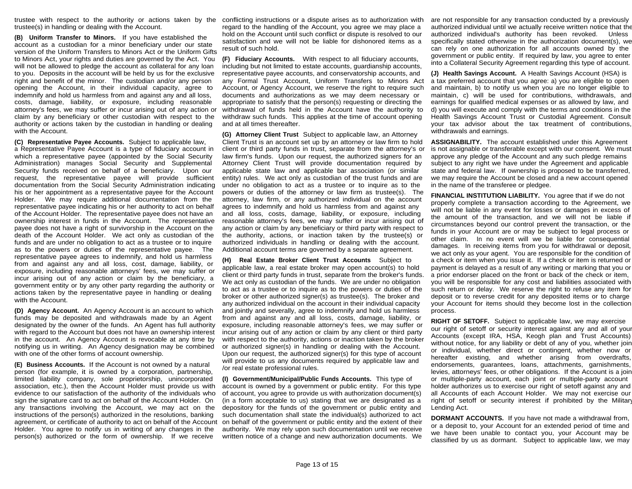trustee with respect to the authority or actions taken by the conflicting instructions or a dispute arises as to authorization with trustee(s) in handling or dealing with the Account.

**(B) Uniform Transfer to Minors.** If you have established the account as a custodian for a minor beneficiary under our state version of the Uniform Transfers to Minors Act or the Uniform Gifts to Minors Act, your rights and duties are governed by the Act. You will not be allowed to pledge the account as collateral for any loan to you. Deposits in the account will be held by us for the exclusive right and benefit of the minor. The custodian and/or any person opening the Account, in their individual capacity, agree to indemnify and hold us harmless from and against any and all loss, costs, damage, liability, or exposure, including reasonable attorney's fees, we may suffer or incur arising out of any action or claim by any beneficiary or other custodian with respect to the authority or actions taken by the custodian in handling or dealing with the Account.

**(C) Representative Payee Accounts.** Subject to applicable law, a Representative Payee Account is a type of fiduciary account in which a representative payee (appointed by the Social Security Administration) manages Social Security and Supplemental Security funds received on behalf of a beneficiary. Upon our request, the representative payee will provide sufficient documentation from the Social Security Administration indicating his or her appointment as a representative payee for the Account Holder. We may require additional documentation from the representative payee indicating his or her authority to act on behalf of the Account Holder. The representative payee does not have an ownership interest in funds in the Account. The representative payee does not have a right of survivorship in the Account on the death of the Account Holder. We act only as custodian of the funds and are under no obligation to act as a trustee or to inquire as to the powers or duties of the representative payee. The representative payee agrees to indemnify, and hold us harmless from and against any and all loss, cost, damage, liability, or exposure, including reasonable attorneys' fees, we may suffer or incur arising out of any action or claim by the beneficiary, a government entity or by any other party regarding the authority or actions taken by the representative payee in handling or dealing with the Account.

**(D) Agency Account.** An Agency Account is an account to which funds may be deposited and withdrawals made by an Agent designated by the owner of the funds. An Agent has full authority with regard to the Account but does not have an ownership interest in the account. An Agency Account is revocable at any time by notifying us in writing. An Agency designation may be combined with one of the other forms of account ownership.

**(E) Business Accounts.** If the Account is not owned by a natural person (for example, it is owned by a corporation, partnership, limited liability company, sole proprietorship, unincorporated association, etc.), then the Account Holder must provide us with evidence to our satisfaction of the authority of the individuals who sign the signature card to act on behalf of the Account Holder. On any transactions involving the Account, we may act on the instructions of the person(s) authorized in the resolutions, banking agreement, or certificate of authority to act on behalf of the Account Holder. You agree to notify us in writing of any changes in the person(s) authorized or the form of ownership. If we receive

regard to the handling of the Account, you agree we may place a hold on the Account until such conflict or dispute is resolved to our satisfaction and we will not be liable for dishonored items as a result of such hold.

**(F) Fiduciary Accounts.** With respect to all fiduciary accounts, including but not limited to estate accounts, guardianship accounts, representative payee accounts, and conservatorship accounts, and any Formal Trust Account, Uniform Transfers to Minors Act Account, or Agency Account, we reserve the right to require such documents and authorizations as we may deem necessary or appropriate to satisfy that the person(s) requesting or directing the withdrawal of funds held in the Account have the authority to withdraw such funds. This applies at the time of account opening and at all times thereafter.

**(G) Attorney Client Trust** Subject to applicable law, an Attorney Client Trust is an account set up by an attorney or law firm to hold client or third party funds in trust, separate from the attorney's or law firm's funds. Upon our request, the authorized signers for an Attorney Client Trust will provide documentation required by applicable state law and applicable bar association (or similar entity) rules. We act only as custodian of the trust funds and are under no obligation to act as a trustee or to inquire as to the powers or duties of the attorney or law firm as trustee(s). The attorney, law firm, or any authorized individual on the account agrees to indemnify and hold us harmless from and against any and all loss, costs, damage, liability, or exposure, including reasonable attorney's fees, we may suffer or incur arising out of any action or claim by any beneficiary or third party with respect to the authority, actions, or inaction taken by the trustee(s) or authorized individuals in handling or dealing with the account. Additional account terms are governed by a separate agreement.

**(H) Real Estate Broker Client Trust Accounts** Subject to applicable law, a real estate broker may open account(s) to hold client or third party funds in trust, separate from the broker's funds. We act only as custodian of the funds. We are under no obligation to act as a trustee or to inquire as to the powers or duties of the broker or other authorized signer(s) as trustee(s). The broker and any authorized individual on the account in their individual capacity and jointly and severally, agree to indemnify and hold us harmless from and against any and all loss, costs, damage, liability, or exposure, including reasonable attorney's fees, we may suffer or incur arising out of any action or claim by any client or third party with respect to the authority, actions or inaction taken by the broker or authorized signer(s) in handling or dealing with the Account. Upon our request, the authorized signer(s) for this type of account will provide to us any documents required by applicable law and /or real estate professional rules.

**(I) Government/Municipal/Public Funds Accounts.** This type of account is owned by a government or public entity. For this type of account, you agree to provide us with authorization document(s) (in a form acceptable to us) stating that we are designated as a depository for the funds of the government or public entity and such documentation shall state the individual(s) authorized to act on behalf of the government or public entity and the extent of their authority. We may rely upon such documentation until we receive written notice of a change and new authorization documents. We

are not responsible for any transaction conducted by a previously authorized individual until we actually receive written notice that the authorized individual's authority has been revoked. Unless specifically stated otherwise in the authorization document(s), we can rely on one authorization for all accounts owned by the government or public entity. If required by law, you agree to enter into a Collateral Security Agreement regarding this type of account.

**(J) Health Savings Account.** A Health Savings Account (HSA) is a tax preferred account that you agree: a) you are eligible to open and maintain, b) to notify us when you are no longer eligible to maintain, c) will be used for contributions, withdrawals, and earnings for qualified medical expenses or as allowed by law, and d) you will execute and comply with the terms and conditions in the Health Savings Account Trust or Custodial Agreement. Consult your tax advisor about the tax treatment of contributions, withdrawals and earnings.

**ASSIGNABILITY.** The account established under this Agreement is not assignable or transferable except with our consent. We must approve any pledge of the Account and any such pledge remains subject to any right we have under the Agreement and applicable state and federal law. If ownership is proposed to be transferred, we may require the Account be closed and a new account opened in the name of the transferee or pledgee.

**FINANCIAL INSTITUTION LIABILITY.** You agree that if we do not properly complete a transaction according to the Agreement, we will not be liable in any event for losses or damages in excess of the amount of the transaction, and we will not be liable if circumstances beyond our control prevent the transaction, or the funds in your Account are or may be subject to legal process or other claim. In no event will we be liable for consequential damages. In receiving items from you for withdrawal or deposit, we act only as your agent. You are responsible for the condition of a check or item when you issue it. If a check or item is returned or payment is delayed as a result of any writing or marking that you or a prior endorser placed on the front or back of the check or item, you will be responsible for any cost and liabilities associated with such return or delay. We reserve the right to refuse any item for deposit or to reverse credit for any deposited items or to charge your Account for items should they become lost in the collection process.

**RIGHT OF SETOFF.** Subject to applicable law, we may exercise our right of setoff or security interest against any and all of your Accounts (except IRA, HSA, Keogh plan and Trust Accounts) without notice, for any liability or debt of any of you, whether join or individual, whether direct or contingent, whether now or hereafter existing, and whether arising from overdrafts, endorsements, guarantees, loans, attachments, garnishments, levies, attorneys' fees, or other obligations. If the Account is a join or multiple-party account, each joint or multiple-party account holder authorizes us to exercise our right of setoff against any and all Accounts of each Account Holder. We may not exercise our right of setoff or security interest if prohibited by the Military Lending Act.

**DORMANT ACCOUNTS.** If you have not made a withdrawal from, or a deposit to, your Account for an extended period of time and we have been unable to contact you, your Account may be classified by us as dormant. Subject to applicable law, we may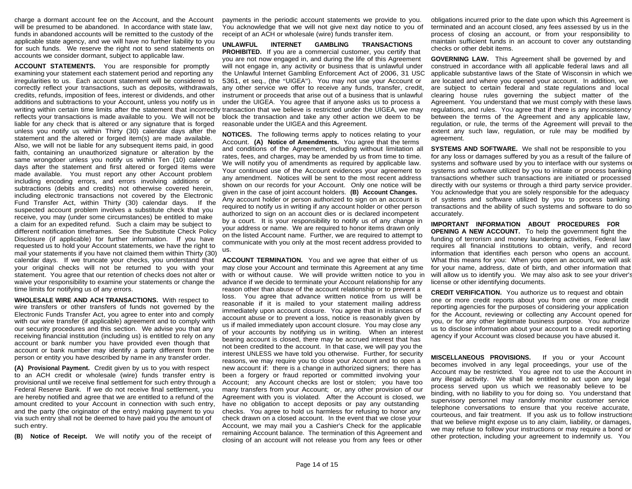charge a dormant account fee on the Account, and the Account will be presumed to be abandoned. In accordance with state law, funds in abandoned accounts will be remitted to the custody of the applicable state agency, and we will have no further liability to you for such funds. We reserve the right not to send statements on accounts we consider dormant, subject to applicable law.

**ACCOUNT STATEMENTS.** You are responsible for promptly examining your statement each statement period and reporting any irregularities to us. Each account statement will be considered to correctly reflect your transactions, such as deposits, withdrawals, credits, refunds, imposition of fees, interest or dividends, and other additions and subtractions to your Account, unless you notify us in reflects your transactions is made available to you. We will not be liable for any check that is altered or any signature that is forged unless you notify us within Thirty (30) calendar days after the statement and the altered or forged item(s) are made available. Also, we will not be liable for any subsequent items paid, in good faith, containing an unauthorized signature or alteration by the same wrongdoer unless you notify us within Ten (10) calendar days after the statement and first altered or forged items were made available. You must report any other Account problem including encoding errors, and errors involving additions or subtractions (debits and credits) not otherwise covered herein, including electronic transactions not covered by the Electronic Fund Transfer Act, within Thirty (30) calendar days. If the suspected account problem involves a substitute check that you receive, you may (under some circumstances) be entitled to make a claim for an expedited refund. Such a claim may be subject to different notification timeframes. See the Substitute Check Policy Disclosure (if applicable) for further information. If you have requested us to hold your Account statements, we have the right to mail your statements if you have not claimed them within Thirty (30) calendar days. If we truncate your checks, you understand that your original checks will not be returned to you with your statement. You agree that our retention of checks does not alter or waive your responsibility to examine your statements or change the time limits for notifying us of any errors.

**WHOLESALE WIRE AND ACH TRANSACTIONS.** With respect to wire transfers or other transfers of funds not governed by the Electronic Funds Transfer Act, you agree to enter into and comply with our wire transfer (if applicable) agreement and to comply with our security procedures and this section. We advise you that any receiving financial institution (including us) is entitled to rely on any account or bank number you have provided even though that account or bank number may identify a party different from the person or entity you have described by name in any transfer order.

**(A) Provisional Payment.** Credit given by us to you with respect to an ACH credit or wholesale (wire) funds transfer entry is provisional until we receive final settlement for such entry through a Federal Reserve Bank. If we do not receive final settlement, you are hereby notified and agree that we are entitled to a refund of the amount credited to your Account in connection with such entry, and the party (the originator of the entry) making payment to you via such entry shall not be deemed to have paid you the amount of such entry.

**(B) Notice of Receipt.** We will notify you of the receipt of

payments in the periodic account statements we provide to you. You acknowledge that we will not give next day notice to you of receipt of an ACH or wholesale (wire) funds transfer item.

writing within certain time limits after the statement that incorrectly transaction that we believe is restricted under the UIGEA, we may **UNLAWFUL INTERNET GAMBLING TRANSACTIONS PROHIBITED.** If you are a commercial customer, you certify that you are not now engaged in, and during the life of this Agreement will not engage in, any activity or business that is unlawful under the Unlawful Internet Gambling Enforcement Act of 2006, 31 USC 5361, et seq., (the "UIGEA"). You may not use your Account or any other service we offer to receive any funds, transfer, credit, instrument or proceeds that arise out of a business that is unlawful under the UIGEA. You agree that if anyone asks us to process a block the transaction and take any other action we deem to be reasonable under the UIGEA and this Agreement.

> **NOTICES.** The following terms apply to notices relating to your Account. **(A) Notice of Amendments.** You agree that the terms and conditions of the Agreement, including without limitation all rates, fees, and charges, may be amended by us from time to time. We will notify you of amendments as required by applicable law. Your continued use of the Account evidences your agreement to any amendment. Notices will be sent to the most recent address shown on our records for your Account. Only one notice will be given in the case of joint account holders. **(B) Account Changes.** Any account holder or person authorized to sign on an account is required to notify us in writing if any account holder or other person authorized to sign on an account dies or is declared incompetent by a court. It is your responsibility to notify us of any change in your address or name. We are required to honor items drawn only on the listed Account name. Further, we are required to attempt to communicate with you only at the most recent address provided to us.

**ACCOUNT TERMINATION.** You and we agree that either of us may close your Account and terminate this Agreement at any time with or without cause. We will provide written notice to you in advance if we decide to terminate your Account relationship for any reason other than abuse of the account relationship or to prevent a loss. You agree that advance written notice from us will be reasonable if it is mailed to your statement mailing address immediately upon account closure. You agree that in instances of account abuse or to prevent a loss, notice is reasonably given by us if mailed immediately upon account closure. You may close any of your accounts by notifying us in writing. When an interest bearing account is closed, there may be accrued interest that has not been credited to the account. In that case, we will pay you the interest UNLESS we have told you otherwise. Further, for security reasons, we may require you to close your Account and to open a new account if: there is a change in authorized signers; there has been a forgery or fraud reported or committed involving your Account; any Account checks are lost or stolen; you have too many transfers from your Account; or, any other provision of our Agreement with you is violated. After the Account is closed, we have no obligation to accept deposits or pay any outstanding checks. You agree to hold us harmless for refusing to honor any check drawn on a closed account. In the event that we close your Account, we may mail you a Cashier's Check for the applicable remaining Account balance. The termination of this Agreement and closing of an account will not release you from any fees or other

obligations incurred prior to the date upon which this Agreement is terminated and an account closed, any fees assessed by us in the process of closing an account, or from your responsibility to maintain sufficient funds in an account to cover any outstanding checks or other debit items.

**GOVERNING LAW.** This Agreement shall be governed by and construed in accordance with all applicable federal laws and all applicable substantive laws of the State of Wisconsin in which we are located and where you opened your account. In addition, we are subject to certain federal and state regulations and local clearing house rules governing the subject matter of the Agreement. You understand that we must comply with these laws, regulations, and rules. You agree that if there is any inconsistency between the terms of the Agreement and any applicable law, regulation, or rule, the terms of the Agreement will prevail to the extent any such law, regulation, or rule may be modified by agreement.

**SYSTEMS AND SOFTWARE.** We shall not be responsible to you for any loss or damages suffered by you as a result of the failure of systems and software used by you to interface with our systems or systems and software utilized by you to initiate or process banking transactions whether such transactions are initiated or processed directly with our systems or through a third party service provider. You acknowledge that you are solely responsible for the adequacy of systems and software utilized by you to process banking transactions and the ability of such systems and software to do so accurately.

**IMPORTANT INFORMATION ABOUT PROCEDURES FOR OPENING A NEW ACCOUNT.** To help the government fight the funding of terrorism and money laundering activities, Federal law requires all financial institutions to obtain, verify, and record information that identifies each person who opens an account. What this means for you: When you open an account, we will ask for your name, address, date of birth, and other information that will allow us to identify you. We may also ask to see your driver's license or other identifying documents.

**CREDIT VERIFICATION.** You authorize us to request and obtain one or more credit reports about you from one or more credit reporting agencies for the purposes of considering your application for the Account, reviewing or collecting any Account opened for you, or for any other legitimate business purpose. You authorize us to disclose information about your account to a credit reporting agency if your Account was closed because you have abused it.

**MISCELLANEOUS PROVISIONS.** If you or your Account becomes involved in any legal proceedings, your use of the Account may be restricted. You agree not to use the Account in any illegal activity. We shall be entitled to act upon any legal process served upon us which we reasonably believe to be binding, with no liability to you for doing so. You understand that supervisory personnel may randomly monitor customer service telephone conversations to ensure that you receive accurate, courteous, and fair treatment. If you ask us to follow instructions that we believe might expose us to any claim, liability, or damages, we may refuse to follow your instructions or may require a bond or other protection, including your agreement to indemnify us. You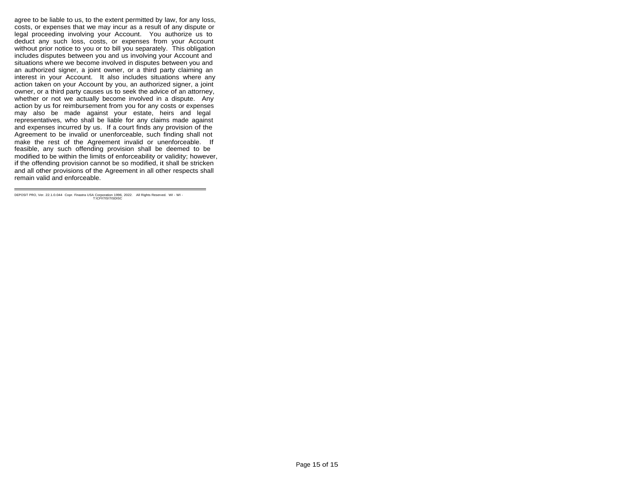agree to be liable to us, to the extent permitted by law, for any loss, costs, or expenses that we may incur as a result of any dispute or legal proceeding involving your Account. You authorize us to deduct any such loss, costs, or expenses from your Account without prior notice to you or to bill you separately. This obligation includes disputes between you and us involving your Account and situations where we become involved in disputes between you and an authorized signer, a joint owner, or a third party claiming an interest in your Account. It also includes situations where any action taken on your Account by you, an authorized signer, a joint owner, or a third party causes us to seek the advice of an attorney, whether or not we actually become involved in a dispute. Any action by us for reimbursement from you for any costs or expenses may also be made against your estate, heirs and legal representatives, who shall be liable for any claims made against and expenses incurred by us. If a court finds any provision of the Agreement to be invalid or unenforceable, such finding shall not make the rest of the Agreement invalid or unenforceable. If feasible, any such offending provision shall be deemed to be modified to be within the limits of enforceability or validity; however, if the offending provision cannot be so modified, it shall be stricken and all other provisions of the Agreement in all other respects shall remain valid and enforceable.

DEPOSIT PRO, Ver. 22.1.0.044 Copr. Finastra USA Corporation 1996, 2022. All Rights Reserved. WI - WI - T:\CFI\TIS\TISDISC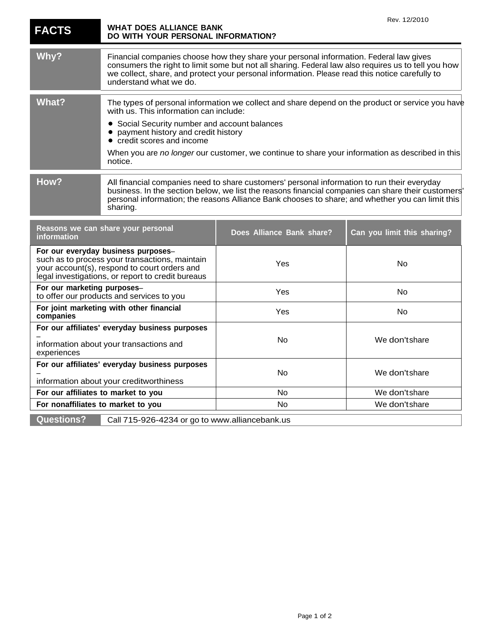| <b>FACTS</b>                                                                                                                                                                               | <b>WHAT DOES ALLIANCE BANK</b><br>DO WITH YOUR PERSONAL INFORMATION?                                                                                                                                                                                                                                                                                                      |                           | Rev. 12/2010                |
|--------------------------------------------------------------------------------------------------------------------------------------------------------------------------------------------|---------------------------------------------------------------------------------------------------------------------------------------------------------------------------------------------------------------------------------------------------------------------------------------------------------------------------------------------------------------------------|---------------------------|-----------------------------|
| Why?                                                                                                                                                                                       | Financial companies choose how they share your personal information. Federal law gives<br>consumers the right to limit some but not all sharing. Federal law also requires us to tell you how<br>we collect, share, and protect your personal information. Please read this notice carefully to<br>understand what we do.                                                 |                           |                             |
| What?                                                                                                                                                                                      | The types of personal information we collect and share depend on the product or service you have<br>with us. This information can include:<br>Social Security number and account balances<br>payment history and credit history<br>credit scores and income<br>When you are no longer our customer, we continue to share your information as described in this<br>notice. |                           |                             |
| How?                                                                                                                                                                                       | All financial companies need to share customers' personal information to run their everyday<br>business. In the section below, we list the reasons financial companies can share their customers<br>personal information; the reasons Alliance Bank chooses to share; and whether you can limit this<br>sharing.                                                          |                           |                             |
| Reasons we can share your personal<br>information                                                                                                                                          |                                                                                                                                                                                                                                                                                                                                                                           | Does Alliance Bank share? | Can you limit this sharing? |
| For our everyday business purposes-<br>such as to process your transactions, maintain<br>your account(s), respond to court orders and<br>legal investigations, or report to credit bureaus |                                                                                                                                                                                                                                                                                                                                                                           | Yes                       | No                          |
| For our marketing purposes-<br>to offer our products and services to you                                                                                                                   |                                                                                                                                                                                                                                                                                                                                                                           | Yes                       | No                          |
| For joint marketing with other financial<br>companies                                                                                                                                      |                                                                                                                                                                                                                                                                                                                                                                           | Yes                       | No                          |
| For our affiliates' everyday business purposes<br>information about your transactions and<br>experiences                                                                                   |                                                                                                                                                                                                                                                                                                                                                                           | No                        | We don't share              |
| For our affiliates' everyday business purposes<br>information about your creditworthiness                                                                                                  |                                                                                                                                                                                                                                                                                                                                                                           | No                        | We don't share              |
| For our affiliates to market to you                                                                                                                                                        |                                                                                                                                                                                                                                                                                                                                                                           | No                        | We don'tshare               |
| For nonaffiliates to market to you                                                                                                                                                         |                                                                                                                                                                                                                                                                                                                                                                           | No                        | We don'tshare               |
| <b>Questions?</b><br>Call 715-926-4234 or go to www.alliancebank.us                                                                                                                        |                                                                                                                                                                                                                                                                                                                                                                           |                           |                             |